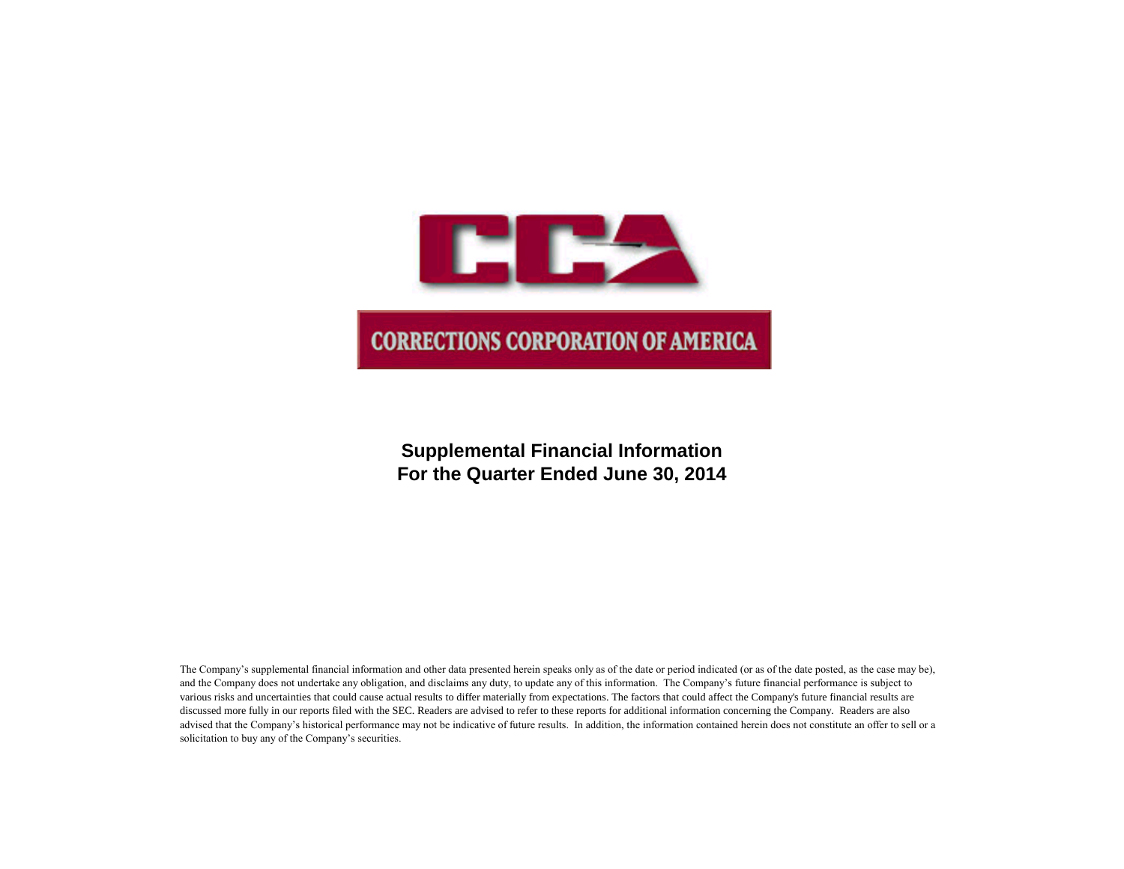

**Supplemental Financial Information For the Quarter Ended June 30, 2014**

The Company's supplemental financial information and other data presented herein speaks only as of the date or period indicated (or as of the date posted, as the case may be), and the Company does not undertake any obligation, and disclaims any duty, to update any of this information. The Company's future financial performance is subject to various risks and uncertainties that could cause actual results to differ materially from expectations. The factors that could affect the Company's future financial results are discussed more fully in our reports filed with the SEC. Readers are advised to refer to these reports for additional information concerning the Company. Readers are also advised that the Company's historical performance may not be indicative of future results. In addition, the information contained herein does not constitute an offer to sell or a solicitation to buy any of the Company's securities.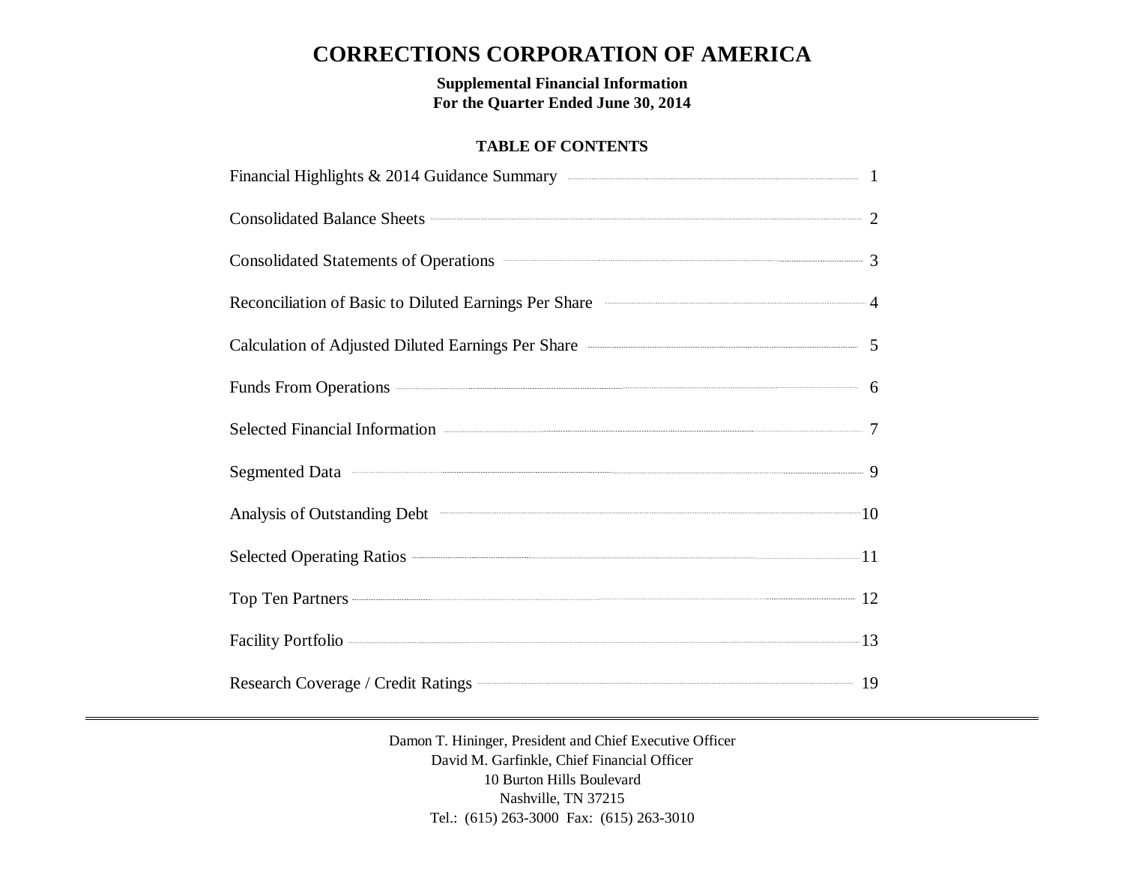# **CORRECTIONS CORPORATION OF AMERICA**

**Supplemental Financial Information For the Quarter Ended June 30, 2014**

# **TABLE OF CONTENTS**

| Financial Highlights & 2014 Guidance Summary <b>Example 2014</b> 1                                                                                                                                                             |  |
|--------------------------------------------------------------------------------------------------------------------------------------------------------------------------------------------------------------------------------|--|
| Consolidated Balance Sheets 2                                                                                                                                                                                                  |  |
| Consolidated Statements of Operations <b>Consolidated Statements</b> 3                                                                                                                                                         |  |
| Reconciliation of Basic to Diluted Earnings Per Share <b>Constanting According to A</b>                                                                                                                                        |  |
| Calculation of Adjusted Diluted Earnings Per Share <b>Calculation</b> of Adjusted Diluted Earnings Per Share                                                                                                                   |  |
| Funds From Operations 6                                                                                                                                                                                                        |  |
| Selected Financial Information <b>Construction</b> 7                                                                                                                                                                           |  |
| Segmented Data 30 and 30 and 30 and 30 and 30 and 30 and 30 and 30 and 30 and 30 and 30 and 30 and 30 and 30 and 30 and 30 and 30 and 30 and 30 and 30 and 30 and 30 and 30 and 30 and 30 and 30 and 30 and 30 and 30 and 30 a |  |
|                                                                                                                                                                                                                                |  |
|                                                                                                                                                                                                                                |  |
| Top Ten Partners 22                                                                                                                                                                                                            |  |
| Facility Portfolio 223 23                                                                                                                                                                                                      |  |
| Research Coverage / Credit Ratings <b>Construction</b> 19                                                                                                                                                                      |  |

Damon T. Hininger, President and Chief Executive Officer David M. Garfinkle, Chief Financial Officer 10 Burton Hills Boulevard Nashville, TN 37215 Tel.: (615) 263-3000 Fax: (615) 263-3010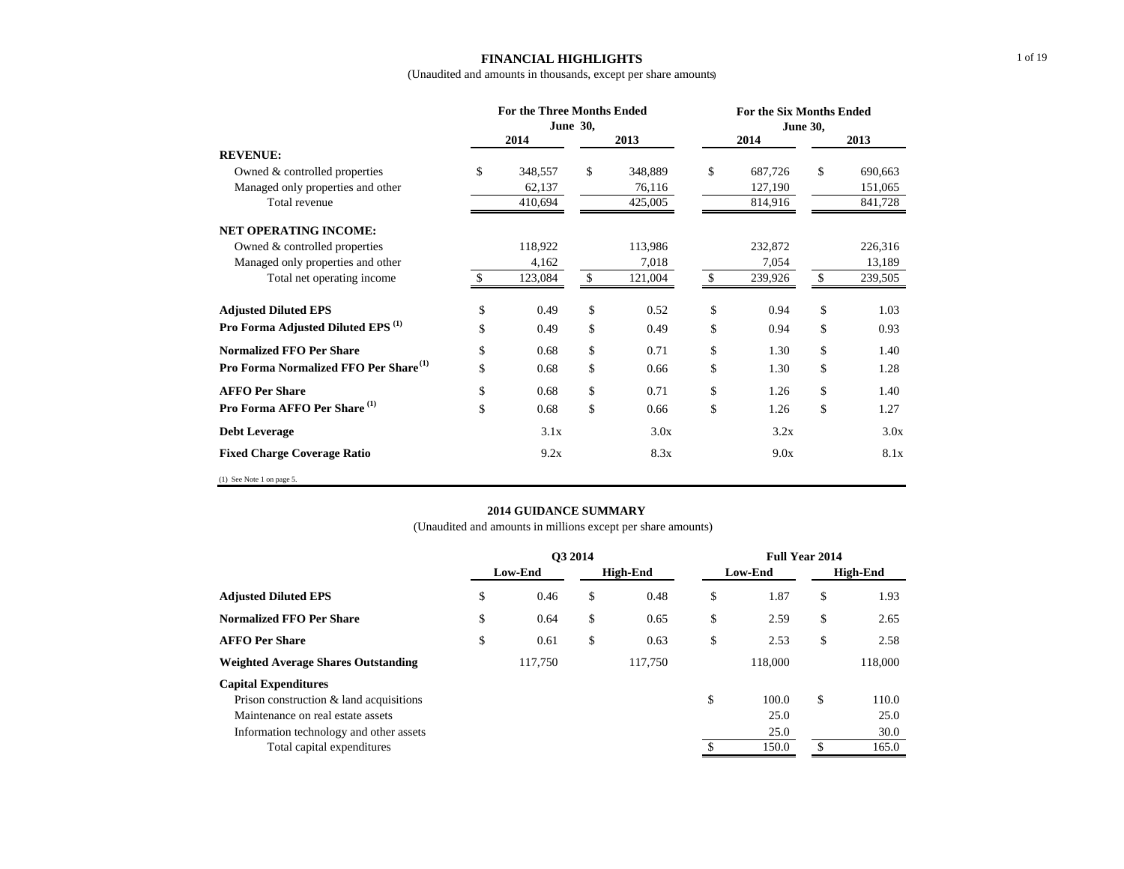### **FINANCIAL HIGHLIGHTS** (Unaudited and amounts in thousands, except per share amounts)

|                                                   |      | <b>For the Three Months Ended</b><br>June 30, |             |         | <b>For the Six Months Ended</b> |         |      |         |
|---------------------------------------------------|------|-----------------------------------------------|-------------|---------|---------------------------------|---------|------|---------|
|                                                   |      | 2014                                          |             | 2013    |                                 | 2014    | 2013 |         |
| <b>REVENUE:</b>                                   |      |                                               |             |         |                                 |         |      |         |
| Owned & controlled properties                     | \$   | 348,557                                       | \$          | 348,889 | \$                              | 687,726 | \$   | 690,663 |
| Managed only properties and other                 |      | 62,137                                        |             | 76,116  |                                 | 127,190 |      | 151,065 |
| Total revenue                                     |      | 410,694                                       |             | 425,005 |                                 | 814,916 |      | 841,728 |
| <b>NET OPERATING INCOME:</b>                      |      |                                               |             |         |                                 |         |      |         |
| Owned & controlled properties                     |      | 118,922                                       |             | 113,986 |                                 | 232,872 |      | 226,316 |
| Managed only properties and other                 |      | 4,162                                         |             | 7,018   |                                 | 7,054   |      | 13,189  |
| Total net operating income                        | \$.  | 123,084                                       | \$          | 121,004 | <sup>\$</sup>                   | 239,926 | \$   | 239,505 |
| <b>Adjusted Diluted EPS</b>                       | \$   | 0.49                                          | \$          | 0.52    | \$                              | 0.94    | \$   | 1.03    |
| Pro Forma Adjusted Diluted EPS <sup>(1)</sup>     | \$   | 0.49                                          | \$          | 0.49    | \$                              | 0.94    | \$   | 0.93    |
| <b>Normalized FFO Per Share</b>                   | \$   | 0.68                                          | \$          | 0.71    | \$                              | 1.30    | \$   | 1.40    |
| Pro Forma Normalized FFO Per Share <sup>(1)</sup> | \$   | 0.68                                          | \$          | 0.66    | \$                              | 1.30    | \$   | 1.28    |
| <b>AFFO Per Share</b>                             | \$   | 0.68                                          | \$          | 0.71    | \$                              | 1.26    | \$   | 1.40    |
| Pro Forma AFFO Per Share <sup>(1)</sup>           | \$   | 0.68                                          | $\mathbf S$ | 0.66    | \$                              | 1.26    | \$   | 1.27    |
| <b>Debt Leverage</b>                              | 3.1x |                                               | 3.0x        |         | 3.2x                            |         |      | 3.0x    |
| <b>Fixed Charge Coverage Ratio</b>                | 9.2x |                                               | 8.3x        |         | 9.0x                            |         |      | 8.1x    |
| (1) See Note 1 on page 5.                         |      |                                               |             |         |                                 |         |      |         |

### **2014 GUIDANCE SUMMARY**

|                                            | O3 2014 |         |    |                 | <b>Full Year 2014</b> |          |         |  |
|--------------------------------------------|---------|---------|----|-----------------|-----------------------|----------|---------|--|
|                                            |         | Low-End |    | <b>High-End</b> | Low-End               | High-End |         |  |
| <b>Adjusted Diluted EPS</b>                | \$      | 0.46    | \$ | 0.48            | \$<br>1.87            | \$       | 1.93    |  |
| <b>Normalized FFO Per Share</b>            | \$      | 0.64    | \$ | 0.65            | \$<br>2.59            | \$       | 2.65    |  |
| <b>AFFO Per Share</b>                      | \$      | 0.61    | \$ | 0.63            | \$<br>2.53            | \$       | 2.58    |  |
| <b>Weighted Average Shares Outstanding</b> |         | 117.750 |    | 117.750         | 118,000               |          | 118,000 |  |
| <b>Capital Expenditures</b>                |         |         |    |                 |                       |          |         |  |
| Prison construction & land acquisitions    |         |         |    |                 | \$<br>100.0           | \$       | 110.0   |  |
| Maintenance on real estate assets          |         |         |    |                 | 25.0                  |          | 25.0    |  |
| Information technology and other assets    |         |         |    |                 | 25.0                  |          | 30.0    |  |
| Total capital expenditures                 |         |         |    |                 | 150.0                 | S        | 165.0   |  |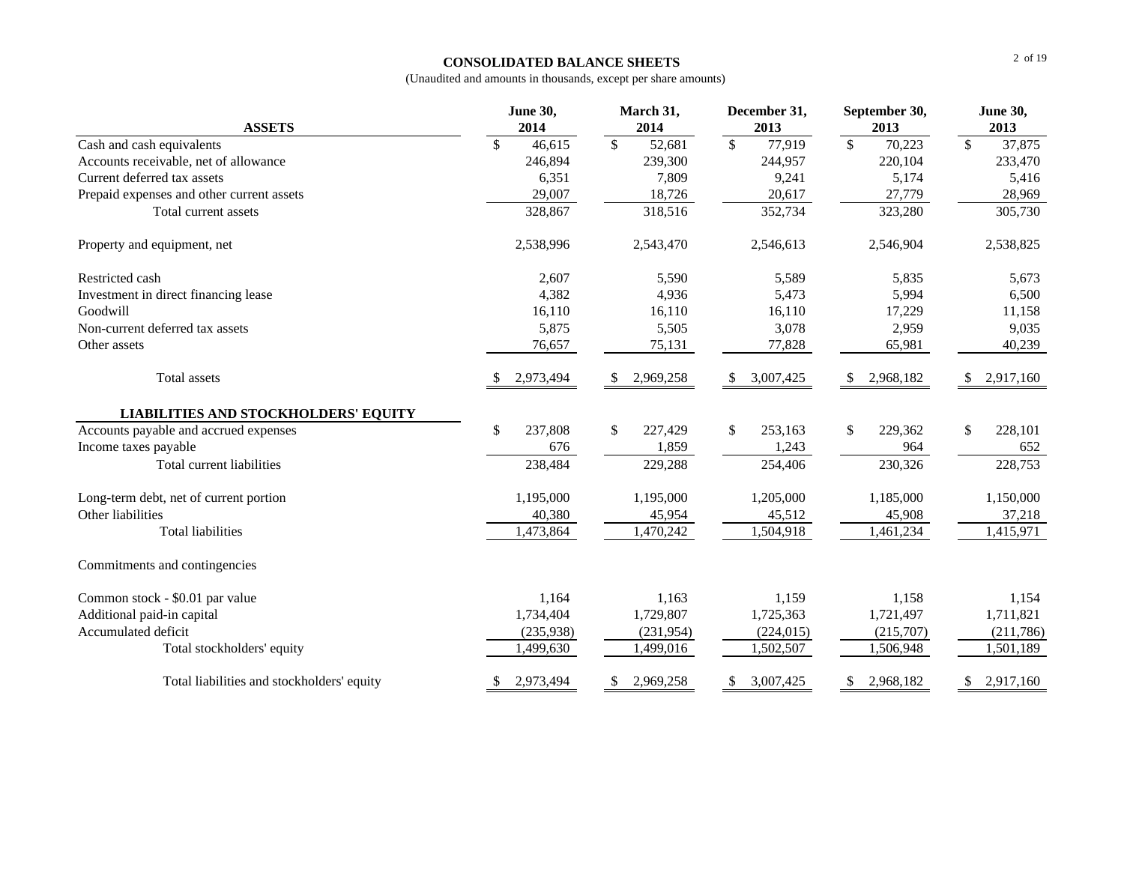### **CONSOLIDATED BALANCE SHEETS**

| <b>ASSETS</b>                               |    | <b>June 30,</b><br>2014 |                          | March 31,<br>2014 |                          | December 31,<br>2013 |                          | September 30,<br>2013 |                 | <b>June 30,</b><br>2013 |
|---------------------------------------------|----|-------------------------|--------------------------|-------------------|--------------------------|----------------------|--------------------------|-----------------------|-----------------|-------------------------|
| Cash and cash equivalents                   | \$ | 46,615                  | $\overline{\mathcal{S}}$ | 52,681            | $\overline{\mathcal{S}}$ | 77,919               | $\overline{\mathcal{S}}$ | 70,223                | $\overline{\$}$ | 37,875                  |
| Accounts receivable, net of allowance       |    | 246,894                 |                          | 239,300           |                          | 244,957              |                          | 220,104               |                 | 233,470                 |
| Current deferred tax assets                 |    | 6,351                   |                          | 7,809             |                          | 9,241                |                          | 5,174                 |                 | 5,416                   |
| Prepaid expenses and other current assets   |    | 29,007                  |                          | 18,726            |                          | 20,617               |                          | 27,779                |                 | 28,969                  |
| Total current assets                        |    | 328,867                 |                          | 318,516           |                          | 352,734              |                          | 323,280               |                 | 305,730                 |
| Property and equipment, net                 |    | 2,538,996               |                          | 2,543,470         |                          | 2,546,613            |                          | 2,546,904             |                 | 2,538,825               |
| Restricted cash                             |    | 2,607                   |                          | 5,590             |                          | 5,589                |                          | 5,835                 |                 | 5,673                   |
| Investment in direct financing lease        |    | 4,382                   |                          | 4,936             |                          | 5,473                |                          | 5,994                 |                 | 6,500                   |
| Goodwill                                    |    | 16,110                  |                          | 16,110            |                          | 16,110               |                          | 17,229                |                 | 11,158                  |
| Non-current deferred tax assets             |    | 5,875                   |                          | 5,505             |                          | 3,078                |                          | 2,959                 |                 | 9,035                   |
| Other assets                                |    | 76,657                  |                          | 75,131            |                          | 77,828               |                          | 65,981                |                 | 40,239                  |
| <b>Total assets</b>                         |    | 2,973,494               | \$.                      | 2,969,258         | \$.                      | 3,007,425            | \$.                      | 2,968,182             | \$              | 2,917,160               |
| <b>LIABILITIES AND STOCKHOLDERS' EQUITY</b> |    |                         |                          |                   |                          |                      |                          |                       |                 |                         |
| Accounts payable and accrued expenses       | \$ | 237,808                 | $\mathbb{S}$             | 227,429           | $\mathbb{S}$             | 253,163              | \$                       | 229,362               | \$              | 228,101                 |
| Income taxes payable                        |    | 676                     |                          | 1,859             |                          | 1,243                |                          | 964                   |                 | 652                     |
| Total current liabilities                   |    | 238,484                 |                          | 229,288           |                          | 254,406              |                          | 230,326               |                 | 228,753                 |
| Long-term debt, net of current portion      |    | 1,195,000               |                          | 1,195,000         |                          | 1,205,000            |                          | 1,185,000             |                 | 1,150,000               |
| Other liabilities                           |    | 40,380                  |                          | 45,954            |                          | 45,512               |                          | 45,908                |                 | 37,218                  |
| <b>Total liabilities</b>                    |    | 1,473,864               |                          | 1,470,242         |                          | 1,504,918            |                          | 1,461,234             |                 | 1,415,971               |
| Commitments and contingencies               |    |                         |                          |                   |                          |                      |                          |                       |                 |                         |
| Common stock - \$0.01 par value             |    | 1,164                   |                          | 1.163             |                          | 1,159                |                          | 1,158                 |                 | 1,154                   |
| Additional paid-in capital                  |    | 1,734,404               |                          | 1,729,807         |                          | 1,725,363            |                          | 1,721,497             |                 | 1,711,821               |
| Accumulated deficit                         |    | (235,938)               |                          | (231,954)         |                          | (224, 015)           |                          | (215,707)             |                 | (211,786)               |
| Total stockholders' equity                  |    | 1,499,630               |                          | 1,499,016         |                          | 1,502,507            |                          | 1,506,948             |                 | 1,501,189               |
| Total liabilities and stockholders' equity  | S. | 2,973,494               | \$                       | 2,969,258         | \$                       | 3,007,425            | \$                       | 2,968,182             | \$              | 2,917,160               |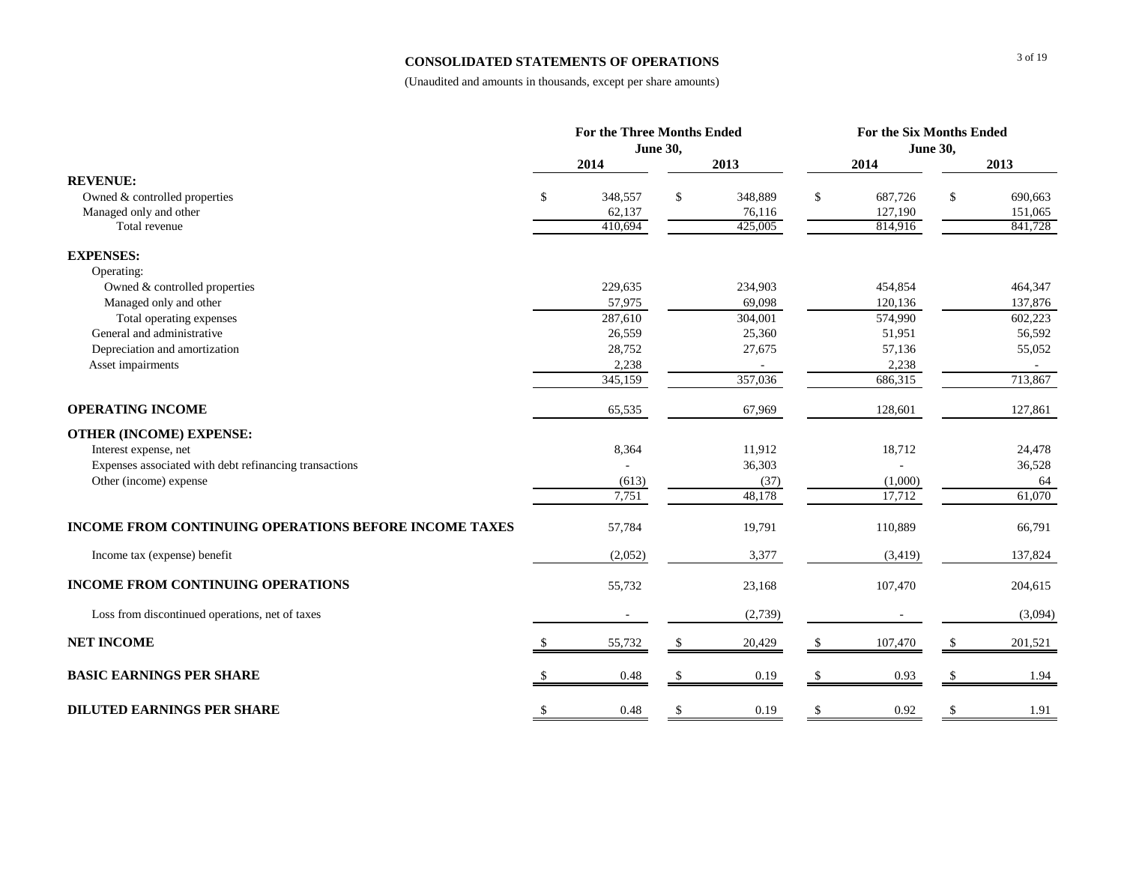#### **CONSOLIDATED STATEMENTS OF OPERATIONS**

|                                                        | <b>For the Three Months Ended</b> |                   |               |                   |               | For the Six Months Ended |                 |                    |  |  |
|--------------------------------------------------------|-----------------------------------|-------------------|---------------|-------------------|---------------|--------------------------|-----------------|--------------------|--|--|
|                                                        |                                   |                   | June 30,      |                   |               |                          | <b>June 30,</b> |                    |  |  |
|                                                        |                                   | 2014              |               | 2013              |               | 2014                     |                 | 2013               |  |  |
| <b>REVENUE:</b>                                        |                                   |                   |               |                   |               |                          |                 |                    |  |  |
| Owned & controlled properties                          | \$                                | 348,557           | \$            | 348,889           | \$            | 687,726                  | \$              | 690,663            |  |  |
| Managed only and other<br>Total revenue                |                                   | 62,137<br>410.694 |               | 76,116<br>425,005 |               | 127,190<br>814,916       |                 | 151,065<br>841,728 |  |  |
| <b>EXPENSES:</b>                                       |                                   |                   |               |                   |               |                          |                 |                    |  |  |
| Operating:                                             |                                   |                   |               |                   |               |                          |                 |                    |  |  |
| Owned & controlled properties                          |                                   | 229,635           |               | 234,903           |               | 454,854                  |                 | 464,347            |  |  |
| Managed only and other                                 |                                   | 57,975            |               | 69,098            |               | 120,136                  |                 | 137,876            |  |  |
| Total operating expenses                               |                                   | 287,610           |               | 304,001           |               | 574,990                  |                 | 602,223            |  |  |
| General and administrative                             |                                   | 26,559            |               | 25,360            |               | 51,951                   |                 | 56,592             |  |  |
| Depreciation and amortization                          |                                   | 28,752            |               | 27,675            |               | 57,136                   |                 | 55,052             |  |  |
| Asset impairments                                      |                                   | 2,238             |               |                   |               | 2,238                    |                 |                    |  |  |
|                                                        |                                   | 345,159           |               | 357,036           |               | 686,315                  |                 | 713,867            |  |  |
| <b>OPERATING INCOME</b>                                |                                   | 65,535            |               | 67,969            |               | 128,601                  |                 | 127,861            |  |  |
| <b>OTHER (INCOME) EXPENSE:</b>                         |                                   |                   |               |                   |               |                          |                 |                    |  |  |
| Interest expense, net                                  |                                   | 8,364             |               | 11,912            |               | 18,712                   |                 | 24,478             |  |  |
| Expenses associated with debt refinancing transactions |                                   |                   |               | 36,303            |               |                          |                 | 36,528             |  |  |
| Other (income) expense                                 |                                   | (613)             |               | (37)              |               | (1,000)                  |                 | 64                 |  |  |
|                                                        |                                   | 7,751             |               | 48,178            |               | 17,712                   |                 | 61,070             |  |  |
| INCOME FROM CONTINUING OPERATIONS BEFORE INCOME TAXES  |                                   | 57,784            |               | 19,791            |               | 110,889                  |                 | 66,791             |  |  |
| Income tax (expense) benefit                           |                                   | (2,052)           |               | 3,377             |               | (3, 419)                 |                 | 137,824            |  |  |
| <b>INCOME FROM CONTINUING OPERATIONS</b>               |                                   | 55,732            |               | 23,168            |               | 107,470                  |                 | 204,615            |  |  |
| Loss from discontinued operations, net of taxes        |                                   |                   |               | (2,739)           |               |                          |                 | (3,094)            |  |  |
| <b>NET INCOME</b>                                      | $\mathbf{s}$                      | 55,732            | \$            | 20,429            | \$            | 107,470                  | \$              | 201,521            |  |  |
| <b>BASIC EARNINGS PER SHARE</b>                        |                                   | 0.48              | $\mathcal{S}$ | 0.19              | <sup>\$</sup> | 0.93                     |                 | 1.94               |  |  |
| <b>DILUTED EARNINGS PER SHARE</b>                      | \$                                | 0.48              | \$            | 0.19              | $\mathcal{S}$ | 0.92                     | \$              | 1.91               |  |  |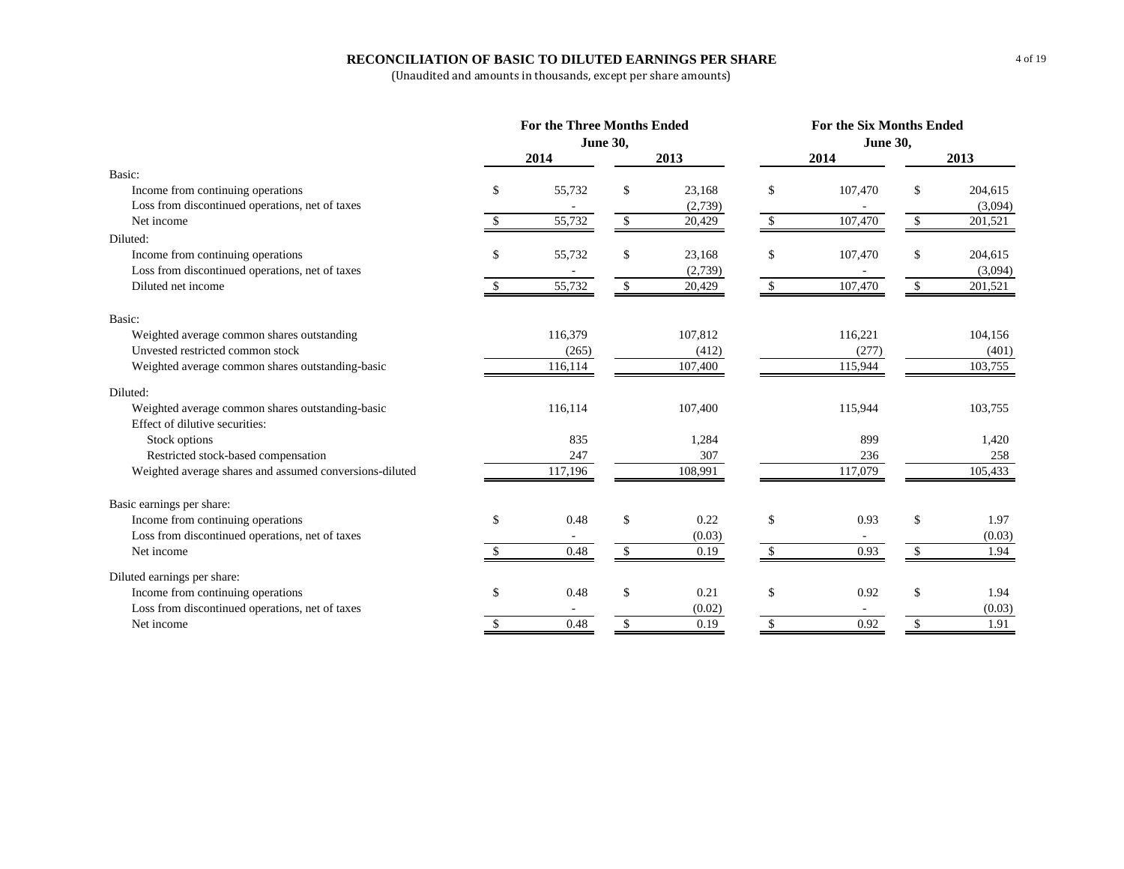### **RECONCILIATION OF BASIC TO DILUTED EARNINGS PER SHARE**

| June 30,<br><b>June 30,</b><br>2013<br>2014<br>2013<br>2014<br>Basic:<br>55,732<br>23,168<br>\$<br>Income from continuing operations<br>\$<br>\$<br>107,470<br>\$<br>Loss from discontinued operations, net of taxes<br>(2,739)<br>55,732<br>107,470<br>\$<br>Net income<br>$\mathbb{S}$<br>\$<br>$\mathbf{\$}$<br>20,429<br>Diluted:<br>Income from continuing operations<br>55,732<br>\$<br>\$<br>\$<br>23,168<br>107,470<br>\$<br>Loss from discontinued operations, net of taxes<br>(2,739)<br>55,732<br>$\mathbb{S}$<br>107,470<br>\$<br>Diluted net income<br>20,429<br>\$<br>Basic:<br>Weighted average common shares outstanding<br>116,379<br>107,812<br>116,221<br>Unvested restricted common stock<br>(277)<br>(265)<br>(412)<br>115,944<br>Weighted average common shares outstanding-basic<br>116,114<br>107,400<br>Diluted:<br>Weighted average common shares outstanding-basic<br>116,114<br>107,400<br>115,944<br>Effect of dilutive securities:<br>835<br>1,284<br>899<br>Stock options<br>Restricted stock-based compensation<br>307<br>247<br>236<br>117,196<br>117,079<br>Weighted average shares and assumed conversions-diluted<br>108,991<br>Basic earnings per share:<br>\$<br>\$<br>\$<br>Income from continuing operations<br>0.48<br>\$<br>0.22<br>0.93<br>Loss from discontinued operations, net of taxes<br>(0.03)<br>Net income<br>0.48<br>\$<br>0.19<br>0.93<br><sup>\$</sup><br>\$.<br>Diluted earnings per share:<br>\$<br>0.21<br>\$<br>\$<br>Income from continuing operations<br>\$<br>0.48<br>0.92 |  | For the Three Months Ended |  |  | For the Six Months Ended |  |        |         |  |  |
|-----------------------------------------------------------------------------------------------------------------------------------------------------------------------------------------------------------------------------------------------------------------------------------------------------------------------------------------------------------------------------------------------------------------------------------------------------------------------------------------------------------------------------------------------------------------------------------------------------------------------------------------------------------------------------------------------------------------------------------------------------------------------------------------------------------------------------------------------------------------------------------------------------------------------------------------------------------------------------------------------------------------------------------------------------------------------------------------------------------------------------------------------------------------------------------------------------------------------------------------------------------------------------------------------------------------------------------------------------------------------------------------------------------------------------------------------------------------------------------------------------------------------------------------|--|----------------------------|--|--|--------------------------|--|--------|---------|--|--|
|                                                                                                                                                                                                                                                                                                                                                                                                                                                                                                                                                                                                                                                                                                                                                                                                                                                                                                                                                                                                                                                                                                                                                                                                                                                                                                                                                                                                                                                                                                                                         |  |                            |  |  |                          |  |        |         |  |  |
|                                                                                                                                                                                                                                                                                                                                                                                                                                                                                                                                                                                                                                                                                                                                                                                                                                                                                                                                                                                                                                                                                                                                                                                                                                                                                                                                                                                                                                                                                                                                         |  |                            |  |  |                          |  |        |         |  |  |
|                                                                                                                                                                                                                                                                                                                                                                                                                                                                                                                                                                                                                                                                                                                                                                                                                                                                                                                                                                                                                                                                                                                                                                                                                                                                                                                                                                                                                                                                                                                                         |  |                            |  |  |                          |  |        |         |  |  |
|                                                                                                                                                                                                                                                                                                                                                                                                                                                                                                                                                                                                                                                                                                                                                                                                                                                                                                                                                                                                                                                                                                                                                                                                                                                                                                                                                                                                                                                                                                                                         |  |                            |  |  |                          |  |        | 204,615 |  |  |
|                                                                                                                                                                                                                                                                                                                                                                                                                                                                                                                                                                                                                                                                                                                                                                                                                                                                                                                                                                                                                                                                                                                                                                                                                                                                                                                                                                                                                                                                                                                                         |  |                            |  |  |                          |  |        | (3,094) |  |  |
|                                                                                                                                                                                                                                                                                                                                                                                                                                                                                                                                                                                                                                                                                                                                                                                                                                                                                                                                                                                                                                                                                                                                                                                                                                                                                                                                                                                                                                                                                                                                         |  |                            |  |  |                          |  |        | 201,521 |  |  |
|                                                                                                                                                                                                                                                                                                                                                                                                                                                                                                                                                                                                                                                                                                                                                                                                                                                                                                                                                                                                                                                                                                                                                                                                                                                                                                                                                                                                                                                                                                                                         |  |                            |  |  |                          |  |        |         |  |  |
|                                                                                                                                                                                                                                                                                                                                                                                                                                                                                                                                                                                                                                                                                                                                                                                                                                                                                                                                                                                                                                                                                                                                                                                                                                                                                                                                                                                                                                                                                                                                         |  |                            |  |  |                          |  |        | 204,615 |  |  |
|                                                                                                                                                                                                                                                                                                                                                                                                                                                                                                                                                                                                                                                                                                                                                                                                                                                                                                                                                                                                                                                                                                                                                                                                                                                                                                                                                                                                                                                                                                                                         |  |                            |  |  |                          |  |        | (3,094) |  |  |
|                                                                                                                                                                                                                                                                                                                                                                                                                                                                                                                                                                                                                                                                                                                                                                                                                                                                                                                                                                                                                                                                                                                                                                                                                                                                                                                                                                                                                                                                                                                                         |  |                            |  |  |                          |  |        | 201,521 |  |  |
|                                                                                                                                                                                                                                                                                                                                                                                                                                                                                                                                                                                                                                                                                                                                                                                                                                                                                                                                                                                                                                                                                                                                                                                                                                                                                                                                                                                                                                                                                                                                         |  |                            |  |  |                          |  |        |         |  |  |
|                                                                                                                                                                                                                                                                                                                                                                                                                                                                                                                                                                                                                                                                                                                                                                                                                                                                                                                                                                                                                                                                                                                                                                                                                                                                                                                                                                                                                                                                                                                                         |  |                            |  |  |                          |  |        | 104,156 |  |  |
|                                                                                                                                                                                                                                                                                                                                                                                                                                                                                                                                                                                                                                                                                                                                                                                                                                                                                                                                                                                                                                                                                                                                                                                                                                                                                                                                                                                                                                                                                                                                         |  |                            |  |  |                          |  |        | (401)   |  |  |
|                                                                                                                                                                                                                                                                                                                                                                                                                                                                                                                                                                                                                                                                                                                                                                                                                                                                                                                                                                                                                                                                                                                                                                                                                                                                                                                                                                                                                                                                                                                                         |  |                            |  |  |                          |  |        | 103,755 |  |  |
|                                                                                                                                                                                                                                                                                                                                                                                                                                                                                                                                                                                                                                                                                                                                                                                                                                                                                                                                                                                                                                                                                                                                                                                                                                                                                                                                                                                                                                                                                                                                         |  |                            |  |  |                          |  |        |         |  |  |
|                                                                                                                                                                                                                                                                                                                                                                                                                                                                                                                                                                                                                                                                                                                                                                                                                                                                                                                                                                                                                                                                                                                                                                                                                                                                                                                                                                                                                                                                                                                                         |  |                            |  |  |                          |  |        | 103,755 |  |  |
|                                                                                                                                                                                                                                                                                                                                                                                                                                                                                                                                                                                                                                                                                                                                                                                                                                                                                                                                                                                                                                                                                                                                                                                                                                                                                                                                                                                                                                                                                                                                         |  |                            |  |  |                          |  |        |         |  |  |
|                                                                                                                                                                                                                                                                                                                                                                                                                                                                                                                                                                                                                                                                                                                                                                                                                                                                                                                                                                                                                                                                                                                                                                                                                                                                                                                                                                                                                                                                                                                                         |  |                            |  |  |                          |  |        | 1,420   |  |  |
|                                                                                                                                                                                                                                                                                                                                                                                                                                                                                                                                                                                                                                                                                                                                                                                                                                                                                                                                                                                                                                                                                                                                                                                                                                                                                                                                                                                                                                                                                                                                         |  |                            |  |  |                          |  |        | 258     |  |  |
|                                                                                                                                                                                                                                                                                                                                                                                                                                                                                                                                                                                                                                                                                                                                                                                                                                                                                                                                                                                                                                                                                                                                                                                                                                                                                                                                                                                                                                                                                                                                         |  |                            |  |  |                          |  |        | 105,433 |  |  |
|                                                                                                                                                                                                                                                                                                                                                                                                                                                                                                                                                                                                                                                                                                                                                                                                                                                                                                                                                                                                                                                                                                                                                                                                                                                                                                                                                                                                                                                                                                                                         |  |                            |  |  |                          |  |        |         |  |  |
|                                                                                                                                                                                                                                                                                                                                                                                                                                                                                                                                                                                                                                                                                                                                                                                                                                                                                                                                                                                                                                                                                                                                                                                                                                                                                                                                                                                                                                                                                                                                         |  |                            |  |  |                          |  |        | 1.97    |  |  |
|                                                                                                                                                                                                                                                                                                                                                                                                                                                                                                                                                                                                                                                                                                                                                                                                                                                                                                                                                                                                                                                                                                                                                                                                                                                                                                                                                                                                                                                                                                                                         |  |                            |  |  |                          |  |        | (0.03)  |  |  |
|                                                                                                                                                                                                                                                                                                                                                                                                                                                                                                                                                                                                                                                                                                                                                                                                                                                                                                                                                                                                                                                                                                                                                                                                                                                                                                                                                                                                                                                                                                                                         |  |                            |  |  |                          |  |        | 1.94    |  |  |
|                                                                                                                                                                                                                                                                                                                                                                                                                                                                                                                                                                                                                                                                                                                                                                                                                                                                                                                                                                                                                                                                                                                                                                                                                                                                                                                                                                                                                                                                                                                                         |  |                            |  |  |                          |  |        |         |  |  |
|                                                                                                                                                                                                                                                                                                                                                                                                                                                                                                                                                                                                                                                                                                                                                                                                                                                                                                                                                                                                                                                                                                                                                                                                                                                                                                                                                                                                                                                                                                                                         |  |                            |  |  |                          |  |        | 1.94    |  |  |
| Loss from discontinued operations, net of taxes<br>(0.02)                                                                                                                                                                                                                                                                                                                                                                                                                                                                                                                                                                                                                                                                                                                                                                                                                                                                                                                                                                                                                                                                                                                                                                                                                                                                                                                                                                                                                                                                               |  |                            |  |  |                          |  | (0.03) |         |  |  |
| \$<br>\$<br>0.92<br>\$<br>0.48<br>0.19<br>Net income                                                                                                                                                                                                                                                                                                                                                                                                                                                                                                                                                                                                                                                                                                                                                                                                                                                                                                                                                                                                                                                                                                                                                                                                                                                                                                                                                                                                                                                                                    |  |                            |  |  |                          |  |        | 1.91    |  |  |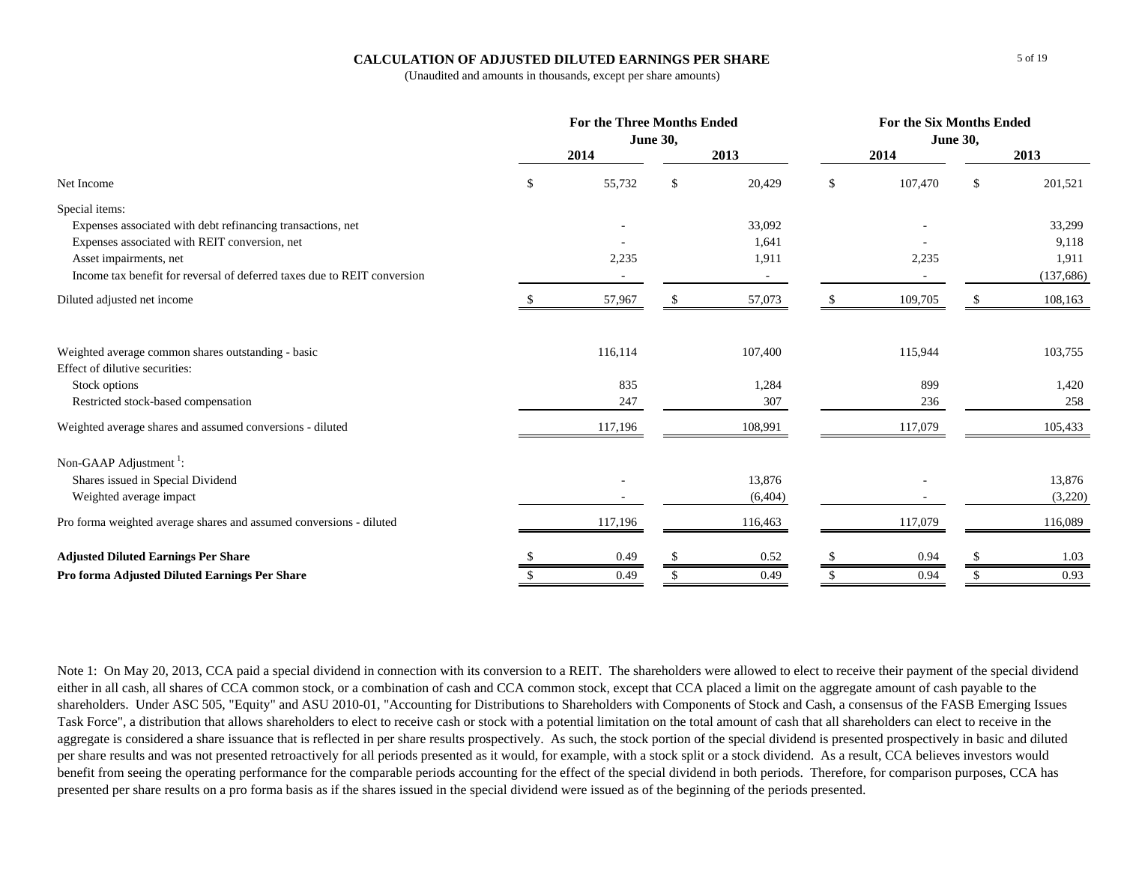### **CALCULATION OF ADJUSTED DILUTED EARNINGS PER SHARE**

(Unaudited and amounts in thousands, except per share amounts)

|                                                                                      | <b>For the Three Months Ended</b><br><b>June 30,</b> |         |    |         | <b>For the Six Months Ended</b><br><b>June 30,</b> |         |               |            |
|--------------------------------------------------------------------------------------|------------------------------------------------------|---------|----|---------|----------------------------------------------------|---------|---------------|------------|
|                                                                                      |                                                      | 2014    |    | 2013    |                                                    | 2014    |               | 2013       |
| Net Income                                                                           | \$                                                   | 55,732  | S. | 20,429  | \$                                                 | 107,470 | <sup>\$</sup> | 201,521    |
| Special items:                                                                       |                                                      |         |    |         |                                                    |         |               |            |
| Expenses associated with debt refinancing transactions, net                          |                                                      |         |    | 33,092  |                                                    |         |               | 33,299     |
| Expenses associated with REIT conversion, net                                        |                                                      |         |    | 1,641   |                                                    |         |               | 9,118      |
| Asset impairments, net                                                               |                                                      | 2,235   |    | 1,911   |                                                    | 2,235   |               | 1,911      |
| Income tax benefit for reversal of deferred taxes due to REIT conversion             |                                                      |         |    |         |                                                    |         |               | (137, 686) |
| Diluted adjusted net income                                                          |                                                      | 57,967  |    | 57,073  | -S                                                 | 109,705 |               | 108,163    |
| Weighted average common shares outstanding - basic<br>Effect of dilutive securities: |                                                      | 116,114 |    | 107,400 |                                                    | 115,944 |               | 103,755    |
|                                                                                      |                                                      | 835     |    | 1,284   |                                                    | 899     |               | 1,420      |
| Stock options<br>Restricted stock-based compensation                                 |                                                      | 247     |    | 307     |                                                    | 236     |               | 258        |
|                                                                                      |                                                      |         |    |         |                                                    |         |               |            |
| Weighted average shares and assumed conversions - diluted                            |                                                      | 117,196 |    | 108,991 |                                                    | 117,079 |               | 105,433    |
| Non-GAAP Adjustment <sup>1</sup> :                                                   |                                                      |         |    |         |                                                    |         |               |            |
| Shares issued in Special Dividend                                                    |                                                      |         |    | 13,876  |                                                    |         |               | 13,876     |
| Weighted average impact                                                              |                                                      |         |    | (6,404) |                                                    |         |               | (3,220)    |
| Pro forma weighted average shares and assumed conversions - diluted                  |                                                      | 117,196 |    | 116,463 |                                                    | 117,079 |               | 116,089    |
| <b>Adjusted Diluted Earnings Per Share</b>                                           |                                                      | 0.49    |    | 0.52    | -S                                                 | 0.94    |               | 1.03       |
| Pro forma Adjusted Diluted Earnings Per Share                                        |                                                      | 0.49    |    | 0.49    |                                                    | 0.94    |               | 0.93       |

Note 1: On May 20, 2013, CCA paid a special dividend in connection with its conversion to a REIT. The shareholders were allowed to elect to receive their payment of the special dividend either in all cash, all shares of CCA common stock, or a combination of cash and CCA common stock, except that CCA placed a limit on the aggregate amount of cash payable to the shareholders. Under ASC 505, "Equity" and ASU 2010-01, "Accounting for Distributions to Shareholders with Components of Stock and Cash, a consensus of the FASB Emerging Issues Task Force", a distribution that allows shareholders to elect to receive cash or stock with a potential limitation on the total amount of cash that all shareholders can elect to receive in the aggregate is considered a share issuance that is reflected in per share results prospectively. As such, the stock portion of the special dividend is presented prospectively in basic and diluted per share results and was not presented retroactively for all periods presented as it would, for example, with a stock split or a stock dividend. As a result, CCA believes investors would benefit from seeing the operating performance for the comparable periods accounting for the effect of the special dividend in both periods. Therefore, for comparison purposes, CCA has presented per share results on a pro forma basis as if the shares issued in the special dividend were issued as of the beginning of the periods presented.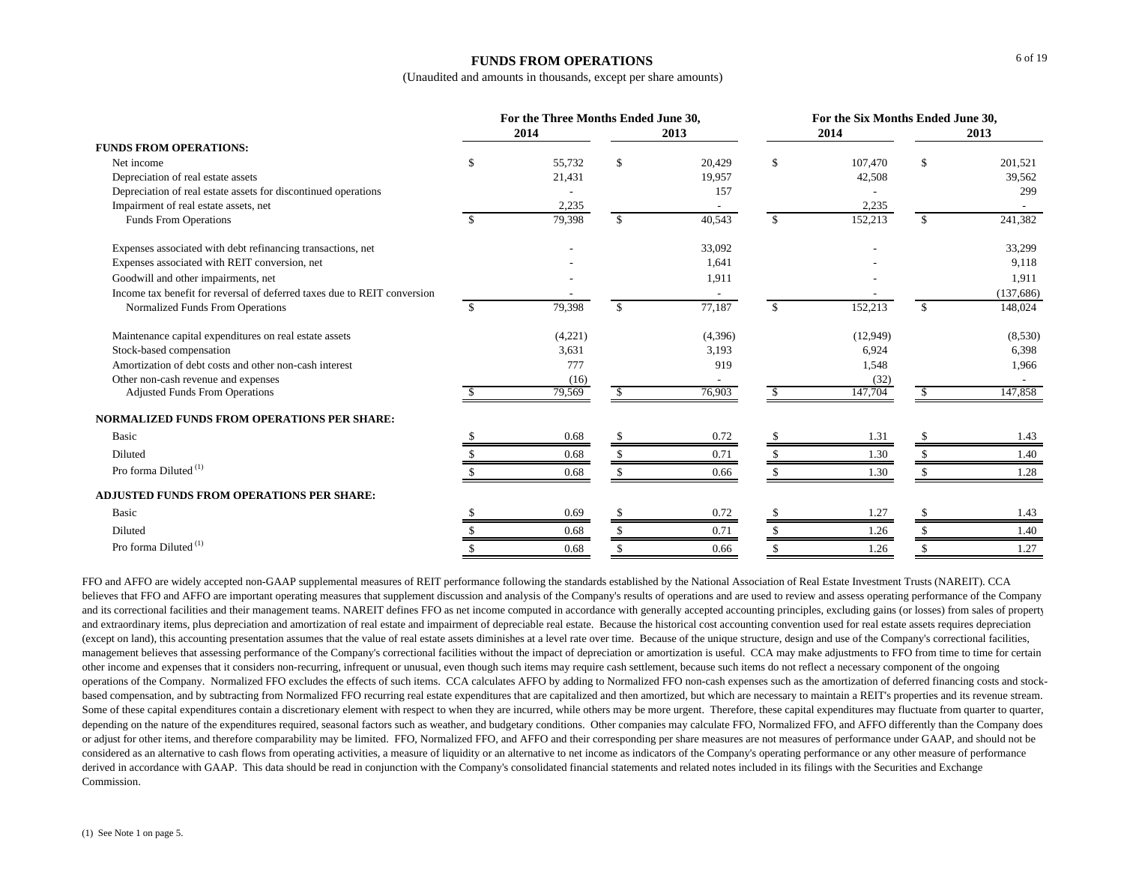### **FUNDS FROM OPERATIONS**

(Unaudited and amounts in thousands, except per share amounts)

|                                                                          |               | For the Three Months Ended June 30, |               |         | For the Six Months Ended June 30, |          |               |           |  |
|--------------------------------------------------------------------------|---------------|-------------------------------------|---------------|---------|-----------------------------------|----------|---------------|-----------|--|
|                                                                          |               | 2014                                |               | 2013    |                                   | 2014     |               | 2013      |  |
| <b>FUNDS FROM OPERATIONS:</b>                                            |               |                                     |               |         |                                   |          |               |           |  |
| Net income                                                               | <sup>\$</sup> | 55,732                              | \$.           | 20,429  | <sup>\$</sup>                     | 107,470  | \$            | 201,521   |  |
| Depreciation of real estate assets                                       |               | 21,431                              |               | 19,957  |                                   | 42,508   |               | 39,562    |  |
| Depreciation of real estate assets for discontinued operations           |               |                                     |               | 157     |                                   |          |               | 299       |  |
| Impairment of real estate assets, net                                    |               | 2,235                               |               |         |                                   | 2,235    |               |           |  |
| Funds From Operations                                                    | -S            | 79,398                              | \$            | 40,543  | $\mathbb{S}$                      | 152,213  | \$            | 241,382   |  |
| Expenses associated with debt refinancing transactions, net              |               |                                     |               | 33,092  |                                   |          |               | 33,299    |  |
| Expenses associated with REIT conversion, net                            |               |                                     |               | 1,641   |                                   |          |               | 9,118     |  |
| Goodwill and other impairments, net                                      |               |                                     |               | 1,911   |                                   |          |               | 1,911     |  |
| Income tax benefit for reversal of deferred taxes due to REIT conversion |               |                                     |               |         |                                   |          |               | (137,686) |  |
| Normalized Funds From Operations                                         | -S            | 79,398                              | <sup>\$</sup> | 77,187  | <sup>\$</sup>                     | 152,213  | \$            | 148,024   |  |
| Maintenance capital expenditures on real estate assets                   |               | (4,221)                             |               | (4,396) |                                   | (12,949) |               | (8,530)   |  |
| Stock-based compensation                                                 |               | 3,631                               |               | 3,193   |                                   | 6,924    |               | 6,398     |  |
| Amortization of debt costs and other non-cash interest                   |               | 777                                 |               | 919     |                                   | 1,548    |               | 1,966     |  |
| Other non-cash revenue and expenses                                      |               | (16)                                |               |         |                                   | (32)     |               |           |  |
| <b>Adjusted Funds From Operations</b>                                    |               | 79,569                              |               | 76,903  |                                   | 147,704  |               | 147,858   |  |
| <b>NORMALIZED FUNDS FROM OPERATIONS PER SHARE:</b>                       |               |                                     |               |         |                                   |          |               |           |  |
| Basic                                                                    |               | 0.68                                |               | 0.72    |                                   | 1.31     |               | 1.43      |  |
| Diluted                                                                  |               | 0.68                                |               | 0.71    |                                   | 1.30     |               | 1.40      |  |
| Pro forma Diluted <sup>(1)</sup>                                         |               | 0.68                                |               | 0.66    |                                   | 1.30     |               | 1.28      |  |
| <b>ADJUSTED FUNDS FROM OPERATIONS PER SHARE:</b>                         |               |                                     |               |         |                                   |          |               |           |  |
| Basic                                                                    |               | 0.69                                | <sup>\$</sup> | 0.72    | -S                                | 1.27     | <sup>\$</sup> | 1.43      |  |
| Diluted                                                                  |               | 0.68                                | \$.           | 0.71    | $\mathcal{S}$                     | 1.26     |               | 1.40      |  |
| Pro forma Diluted <sup>(1)</sup>                                         |               | 0.68                                |               | 0.66    | -S                                | 1.26     | \$            | 1.27      |  |

FFO and AFFO are widely accepted non-GAAP supplemental measures of REIT performance following the standards established by the National Association of Real Estate Investment Trusts (NAREIT). CCA believes that FFO and AFFO are important operating measures that supplement discussion and analysis of the Company's results of operations and are used to review and assess operating performance of the Company and its correctional facilities and their management teams. NAREIT defines FFO as net income computed in accordance with generally accepted accounting principles, excluding gains (or losses) from sales of property and extraordinary items, plus depreciation and amortization of real estate and impairment of depreciable real estate. Because the historical cost accounting convention used for real estate assets requires depreciation (except on land), this accounting presentation assumes that the value of real estate assets diminishes at a level rate over time. Because of the unique structure, design and use of the Company's correctional facilities, management believes that assessing performance of the Company's correctional facilities without the impact of depreciation or amortization is useful. CCA may make adjustments to FFO from time to time for certain other income and expenses that it considers non-recurring, infrequent or unusual, even though such items may require cash settlement, because such items do not reflect a necessary component of the ongoing operations of the Company. Normalized FFO excludes the effects of such items. CCA calculates AFFO by adding to Normalized FFO non-cash expenses such as the amortization of deferred financing costs and stockbased compensation, and by subtracting from Normalized FFO recurring real estate expenditures that are capitalized and then amortized, but which are necessary to maintain a REIT's properties and its revenue stream. Some of these capital expenditures contain a discretionary element with respect to when they are incurred, while others may be more urgent. Therefore, these capital expenditures may fluctuate from quarter to quarter, depending on the nature of the expenditures required, seasonal factors such as weather, and budgetary conditions. Other companies may calculate FFO, Normalized FFO, and AFFO differently than the Company does or adjust for other items, and therefore comparability may be limited. FFO, Normalized FFO, and AFFO and their corresponding per share measures are not measures of performance under GAAP, and should not be considered as an alternative to cash flows from operating activities, a measure of liquidity or an alternative to net income as indicators of the Company's operating performance or any other measure of performance derived in accordance with GAAP. This data should be read in conjunction with the Company's consolidated financial statements and related notes included in its filings with the Securities and Exchange Commission.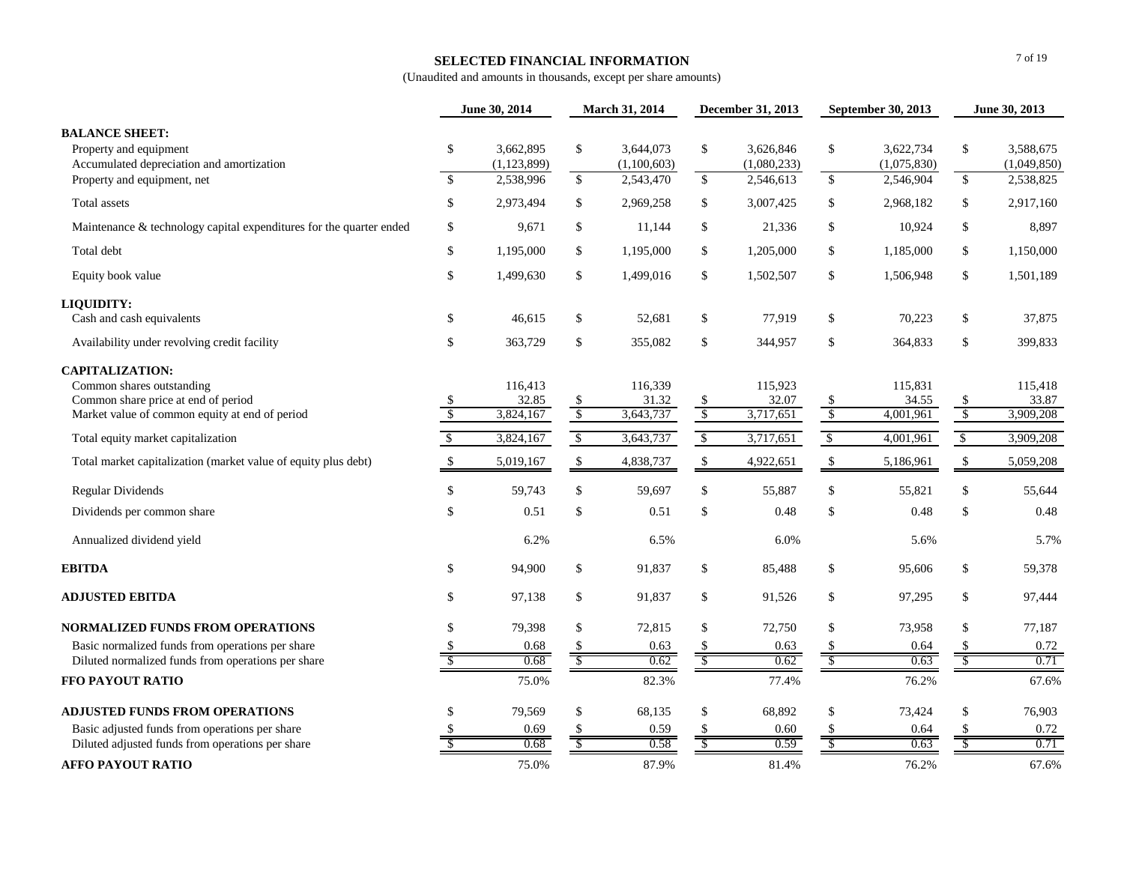#### **SELECTED FINANCIAL INFORMATION**

|                                                                                                                                              |                          | June 30, 2014                           | March 31, 2014                 |                                       | December 31, 2013                    |                                       | September 30, 2013             |                                       | June 30, 2013                        |                                       |
|----------------------------------------------------------------------------------------------------------------------------------------------|--------------------------|-----------------------------------------|--------------------------------|---------------------------------------|--------------------------------------|---------------------------------------|--------------------------------|---------------------------------------|--------------------------------------|---------------------------------------|
| <b>BALANCE SHEET:</b><br>Property and equipment<br>Accumulated depreciation and amortization<br>Property and equipment, net                  | \$<br>$\mathbf{s}$       | 3,662,895<br>(1, 123, 899)<br>2,538,996 | $\mathcal{S}$<br>$\mathbb{S}$  | 3.644.073<br>(1,100,603)<br>2,543,470 | \$<br>$\sqrt{\frac{2}{2}}$           | 3.626.846<br>(1,080,233)<br>2,546,613 | \$<br>$\overline{\mathcal{S}}$ | 3,622,734<br>(1,075,830)<br>2,546,904 | \$<br>\$                             | 3.588.675<br>(1,049,850)<br>2,538,825 |
| Total assets                                                                                                                                 | $\mathbb{S}$             | 2,973,494                               | \$                             | 2,969,258                             | \$                                   | 3,007,425                             | \$                             | 2,968,182                             | \$                                   | 2,917,160                             |
| Maintenance & technology capital expenditures for the quarter ended                                                                          | \$                       | 9,671                                   | \$                             | 11,144                                | \$                                   | 21,336                                | \$                             | 10,924                                | \$                                   | 8,897                                 |
| Total debt                                                                                                                                   | $\mathbb{S}$             | 1,195,000                               | \$                             | 1,195,000                             | \$                                   | 1,205,000                             | \$                             | 1,185,000                             | \$                                   | 1,150,000                             |
| Equity book value                                                                                                                            | \$                       | 1,499,630                               | \$                             | 1,499,016                             | \$                                   | 1,502,507                             | \$                             | 1,506,948                             | \$                                   | 1,501,189                             |
| LIQUIDITY:<br>Cash and cash equivalents                                                                                                      | \$                       | 46,615                                  | \$                             | 52,681                                | \$                                   | 77,919                                | \$                             | 70,223                                | \$                                   | 37,875                                |
| Availability under revolving credit facility                                                                                                 | \$                       | 363,729                                 | \$                             | 355,082                               | \$                                   | 344,957                               | \$                             | 364,833                               | \$                                   | 399,833                               |
| <b>CAPITALIZATION:</b><br>Common shares outstanding<br>Common share price at end of period<br>Market value of common equity at end of period | $\sqrt{2}$               | 116,413<br>32.85<br>3,824,167           | \$<br>$\sqrt[6]{\frac{1}{2}}$  | 116,339<br>31.32<br>3,643,737         | $\frac{1}{2}$<br>$\sqrt$             | 115,923<br>32.07<br>3,717,651         | \$<br>$\sqrt[6]{\frac{1}{2}}$  | 115,831<br>34.55<br>4,001,961         | \$<br>$\sqrt[6]{\frac{1}{2}}$        | 115,418<br>33.87<br>3,909,208         |
| Total equity market capitalization                                                                                                           | $\overline{\mathcal{S}}$ | 3,824,167                               | $\sqrt[6]{\frac{1}{2}}$        | 3,643,737                             | $\sqrt[6]{\frac{1}{2}}$              | 3,717,651                             | $\mathcal{L}$                  | 4,001,961                             | $\sqrt[6]{\frac{1}{2}}$              | 3,909,208                             |
| Total market capitalization (market value of equity plus debt)                                                                               | \$                       | 5,019,167                               | \$                             | 4,838,737                             | \$                                   | 4,922,651                             | \$                             | 5,186,961                             | $\boldsymbol{\mathsf{S}}$            | 5,059,208                             |
| <b>Regular Dividends</b>                                                                                                                     | \$                       | 59,743                                  | \$                             | 59,697                                | \$                                   | 55,887                                | \$                             | 55,821                                | \$                                   | 55,644                                |
| Dividends per common share                                                                                                                   | \$                       | 0.51                                    | \$                             | 0.51                                  | \$                                   | 0.48                                  | \$                             | 0.48                                  | \$                                   | 0.48                                  |
| Annualized dividend yield                                                                                                                    |                          | 6.2%                                    |                                | 6.5%                                  |                                      | 6.0%                                  |                                | 5.6%                                  |                                      | 5.7%                                  |
| <b>EBITDA</b>                                                                                                                                | \$                       | 94,900                                  | \$                             | 91,837                                | \$                                   | 85,488                                | \$                             | 95,606                                | $\$$                                 | 59,378                                |
| <b>ADJUSTED EBITDA</b>                                                                                                                       | \$                       | 97,138                                  | \$                             | 91,837                                | \$                                   | 91,526                                | \$                             | 97,295                                | \$                                   | 97,444                                |
| <b>NORMALIZED FUNDS FROM OPERATIONS</b>                                                                                                      | \$.                      | 79,398                                  | \$                             | 72,815                                | \$                                   | 72,750                                | \$                             | 73,958                                | \$                                   | 77,187                                |
| Basic normalized funds from operations per share                                                                                             |                          | 0.68<br>0.68                            | \$<br>$\overline{\mathcal{S}}$ | 0.63<br>0.62                          | $\mathcal{S}$<br>$\sqrt{S}$          | 0.63<br>0.62                          | \$<br>$\overline{\mathcal{S}}$ | 0.64<br>0.63                          | \$<br>$\overline{\mathcal{S}}$       | 0.72                                  |
| Diluted normalized funds from operations per share<br>FFO PAYOUT RATIO                                                                       | <sup>\$</sup>            | 75.0%                                   |                                | 82.3%                                 |                                      | 77.4%                                 |                                | 76.2%                                 |                                      | 0.71<br>67.6%                         |
| <b>ADJUSTED FUNDS FROM OPERATIONS</b><br>Basic adjusted funds from operations per share<br>Diluted adjusted funds from operations per share  | \$                       | 79,569<br>0.69<br>0.68                  | \$                             | 68,135<br>0.59<br>0.58                | \$<br>\$<br>$\overline{\mathcal{S}}$ | 68,892<br>0.60<br>0.59                | \$<br>S<br>S                   | 73,424<br>0.64<br>0.63                | \$<br>\$<br>$\overline{\mathcal{S}}$ | 76,903<br>0.72<br>0.71                |
| <b>AFFO PAYOUT RATIO</b>                                                                                                                     |                          | 75.0%                                   |                                | 87.9%                                 |                                      | 81.4%                                 |                                | 76.2%                                 |                                      | 67.6%                                 |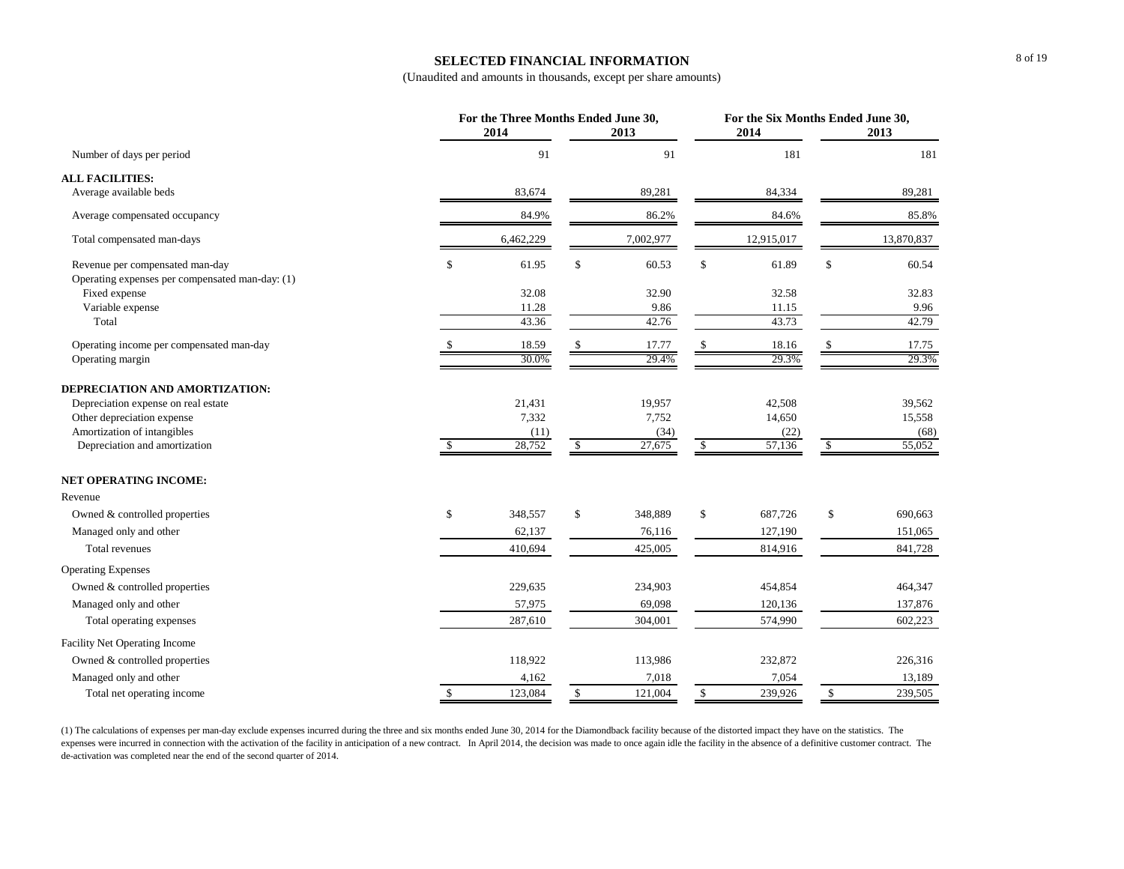# **SELECTED FINANCIAL INFORMATION**

(Unaudited and amounts in thousands, except per share amounts)

|                                                 |               | For the Three Months Ended June 30,<br>2014 |               | 2013      |              | For the Six Months Ended June 30,<br>2014 |              | 2013       |
|-------------------------------------------------|---------------|---------------------------------------------|---------------|-----------|--------------|-------------------------------------------|--------------|------------|
| Number of days per period                       |               | 91                                          |               | 91        |              | 181                                       |              | 181        |
| <b>ALL FACILITIES:</b>                          |               |                                             |               |           |              |                                           |              |            |
| Average available beds                          |               | 83,674                                      |               | 89,281    |              | 84,334                                    |              | 89,281     |
| Average compensated occupancy                   |               | 84.9%                                       |               | 86.2%     |              | 84.6%                                     |              | 85.8%      |
| Total compensated man-days                      |               | 6,462,229                                   |               | 7,002,977 |              | 12,915,017                                |              | 13,870,837 |
| Revenue per compensated man-day                 | \$            | 61.95                                       | \$            | 60.53     | \$           | 61.89                                     | \$           | 60.54      |
| Operating expenses per compensated man-day: (1) |               |                                             |               |           |              |                                           |              |            |
| Fixed expense                                   |               | 32.08                                       |               | 32.90     |              | 32.58                                     |              | 32.83      |
| Variable expense                                |               | 11.28                                       |               | 9.86      |              | 11.15                                     |              | 9.96       |
| Total                                           |               | 43.36                                       |               | 42.76     |              | 43.73                                     |              | 42.79      |
| Operating income per compensated man-day        |               | 18.59                                       |               | 17.77     |              | 18.16                                     |              | 17.75      |
| Operating margin                                |               | 30.0%                                       |               | 29.4%     |              | 29.3%                                     |              | 29.3%      |
| DEPRECIATION AND AMORTIZATION:                  |               |                                             |               |           |              |                                           |              |            |
| Depreciation expense on real estate             |               | 21,431                                      |               | 19,957    |              | 42,508                                    |              | 39,562     |
| Other depreciation expense                      |               | 7,332                                       |               | 7,752     |              | 14,650                                    |              | 15,558     |
| Amortization of intangibles                     |               | (11)                                        |               | (34)      |              | (22)                                      |              | (68)       |
| Depreciation and amortization                   | <sup>\$</sup> | 28,752                                      | <sup>\$</sup> | 27,675    | \$           | 57,136                                    | $\mathbb{S}$ | 55,052     |
| <b>NET OPERATING INCOME:</b>                    |               |                                             |               |           |              |                                           |              |            |
| Revenue                                         |               |                                             |               |           |              |                                           |              |            |
| Owned & controlled properties                   | \$            | 348,557                                     | \$            | 348,889   | \$           | 687,726                                   | \$           | 690,663    |
| Managed only and other                          |               | 62,137                                      |               | 76,116    |              | 127,190                                   |              | 151,065    |
| <b>Total revenues</b>                           |               | 410,694                                     |               | 425,005   |              | 814,916                                   |              | 841,728    |
| <b>Operating Expenses</b>                       |               |                                             |               |           |              |                                           |              |            |
| Owned & controlled properties                   |               | 229,635                                     |               | 234,903   |              | 454,854                                   |              | 464,347    |
| Managed only and other                          |               | 57,975                                      |               | 69,098    |              | 120,136                                   |              | 137,876    |
| Total operating expenses                        |               | 287,610                                     |               | 304,001   |              | 574,990                                   |              | 602,223    |
| <b>Facility Net Operating Income</b>            |               |                                             |               |           |              |                                           |              |            |
| Owned & controlled properties                   |               | 118,922                                     |               | 113,986   |              | 232,872                                   |              | 226,316    |
| Managed only and other                          |               | 4,162                                       |               | 7,018     |              | 7,054                                     |              | 13,189     |
| Total net operating income                      | $\mathbb{S}$  | 123,084                                     | $\mathbb{S}$  | 121,004   | $\mathbb{S}$ | 239,926                                   | $\mathbb{S}$ | 239,505    |

(1) The calculations of expenses per man-day exclude expenses incurred during the three and six months ended June 30, 2014 for the Diamondback facility because of the distorted impact they have on the statistics. The expenses were incurred in connection with the activation of the facility in anticipation of a new contract. In April 2014, the decision was made to once again idle the facility in the absence of a definitive customer contr de-activation was completed near the end of the second quarter of 2014.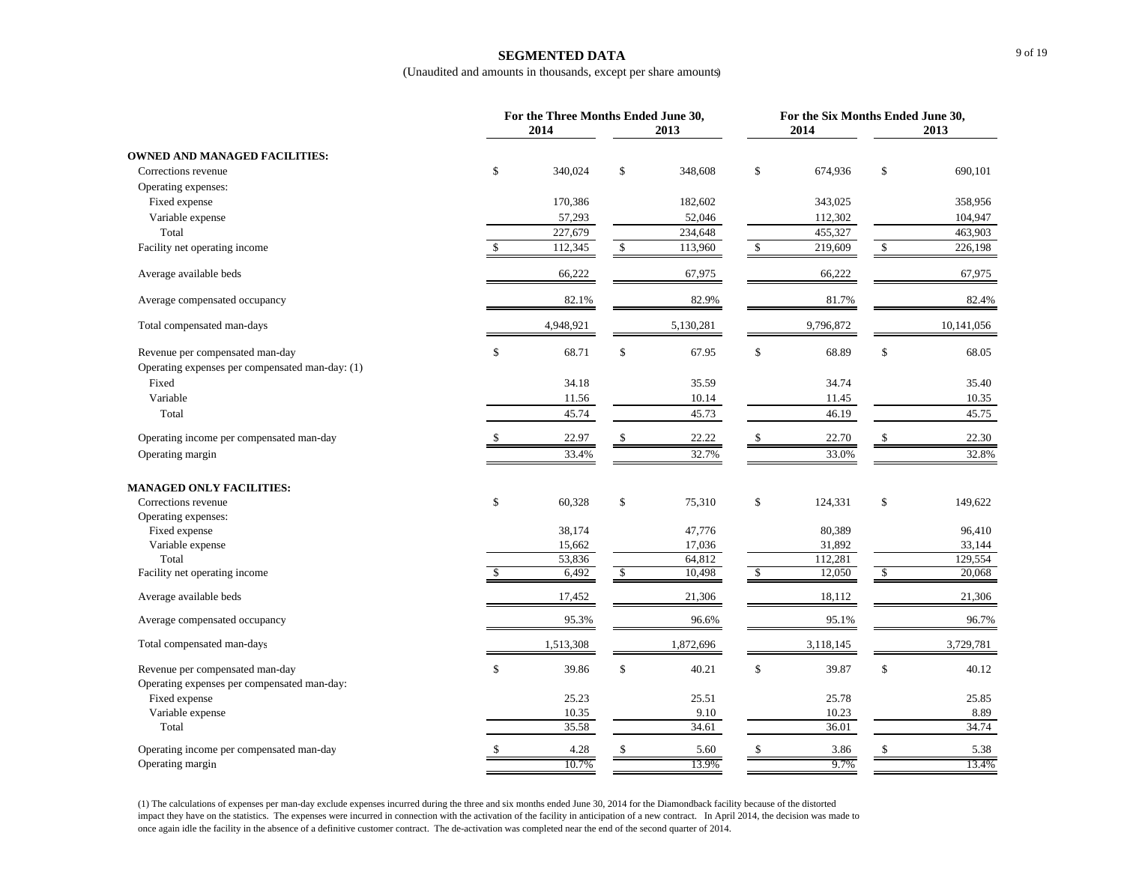### **SEGMENTED DATA**

(Unaudited and amounts in thousands, except per share amounts)

|                                                                                    | For the Three Months Ended June 30, | For the Six Months Ended June 30, |              |           |               |           |               |            |
|------------------------------------------------------------------------------------|-------------------------------------|-----------------------------------|--------------|-----------|---------------|-----------|---------------|------------|
| 2014<br>2013                                                                       |                                     |                                   |              | 2014      |               | 2013      |               |            |
| <b>OWNED AND MANAGED FACILITIES:</b>                                               |                                     |                                   |              |           |               |           |               |            |
| Corrections revenue                                                                | \$                                  | 340,024                           | $\mathbb{S}$ | 348,608   | \$            | 674,936   | \$            | 690,101    |
| Operating expenses:                                                                |                                     |                                   |              |           |               |           |               |            |
| Fixed expense                                                                      |                                     | 170,386                           |              | 182,602   |               | 343,025   |               | 358,956    |
| Variable expense                                                                   |                                     | 57,293                            |              | 52,046    |               | 112,302   |               | 104,947    |
| Total                                                                              |                                     | 227,679                           |              | 234,648   |               | 455,327   |               | 463,903    |
| Facility net operating income                                                      | $\mathbb{S}$                        | 112,345                           | $\mathbb S$  | 113,960   | $\mathbb{S}$  | 219,609   | $\mathbb S$   | 226,198    |
| Average available beds                                                             |                                     | 66,222                            |              | 67,975    |               | 66,222    |               | 67,975     |
| Average compensated occupancy                                                      |                                     | 82.1%                             |              | 82.9%     |               | 81.7%     |               | 82.4%      |
| Total compensated man-days                                                         |                                     | 4,948,921                         |              | 5,130,281 |               | 9,796,872 |               | 10,141,056 |
| Revenue per compensated man-day<br>Operating expenses per compensated man-day: (1) | $\mathbb{S}$                        | 68.71                             | \$           | 67.95     | \$            | 68.89     | <sup>\$</sup> | 68.05      |
| Fixed                                                                              |                                     | 34.18                             |              | 35.59     |               | 34.74     |               | 35.40      |
| Variable                                                                           |                                     | 11.56                             |              | 10.14     |               | 11.45     |               | 10.35      |
| Total                                                                              |                                     | 45.74                             |              | 45.73     |               | 46.19     |               | 45.75      |
| Operating income per compensated man-day                                           |                                     | 22.97                             | \$           | 22.22     | $\mathcal{S}$ | 22.70     | $\mathcal{S}$ | 22.30      |
| Operating margin                                                                   |                                     | 33.4%                             |              | 32.7%     |               | 33.0%     |               | 32.8%      |
| <b>MANAGED ONLY FACILITIES:</b>                                                    |                                     |                                   |              |           |               |           |               |            |
| Corrections revenue                                                                | \$                                  | 60,328                            | \$           | 75,310    | \$            | 124,331   | \$            | 149,622    |
| Operating expenses:                                                                |                                     |                                   |              |           |               |           |               |            |
| Fixed expense                                                                      |                                     | 38,174                            |              | 47,776    |               | 80,389    |               | 96,410     |
| Variable expense                                                                   |                                     | 15,662                            |              | 17,036    |               | 31,892    |               | 33,144     |
| Total                                                                              |                                     | 53,836                            |              | 64,812    |               | 112,281   |               | 129,554    |
| Facility net operating income                                                      |                                     | 6,492                             |              | 10,498    |               | 12,050    | -S            | 20,068     |
| Average available beds                                                             |                                     | 17,452                            |              | 21,306    |               | 18,112    |               | 21,306     |
| Average compensated occupancy                                                      |                                     | 95.3%                             |              | 96.6%     |               | 95.1%     |               | 96.7%      |
| Total compensated man-days                                                         |                                     | 1,513,308                         |              | 1,872,696 |               | 3,118,145 |               | 3,729,781  |
| Revenue per compensated man-day<br>Operating expenses per compensated man-day:     | \$                                  | 39.86                             | \$           | 40.21     | \$            | 39.87     | \$            | 40.12      |
| Fixed expense                                                                      |                                     | 25.23                             |              | 25.51     |               | 25.78     |               | 25.85      |
| Variable expense                                                                   |                                     | 10.35                             |              | 9.10      |               | 10.23     |               | 8.89       |
| Total                                                                              |                                     | 35.58                             |              | 34.61     |               | 36.01     |               | 34.74      |
| Operating income per compensated man-day                                           | \$                                  | 4.28                              |              | 5.60      |               | 3.86      | \$            | 5.38       |
| Operating margin                                                                   |                                     | 10.7%                             |              | 13.9%     |               | 9.7%      |               | 13.4%      |

(1) The calculations of expenses per man-day exclude expenses incurred during the three and six months ended June 30, 2014 for the Diamondback facility because of the distorted impact they have on the statistics. The expenses were incurred in connection with the activation of the facility in anticipation of a new contract. In April 2014, the decision was made to once again idle the facility in the absence of a definitive customer contract. The de-activation was completed near the end of the second quarter of 2014.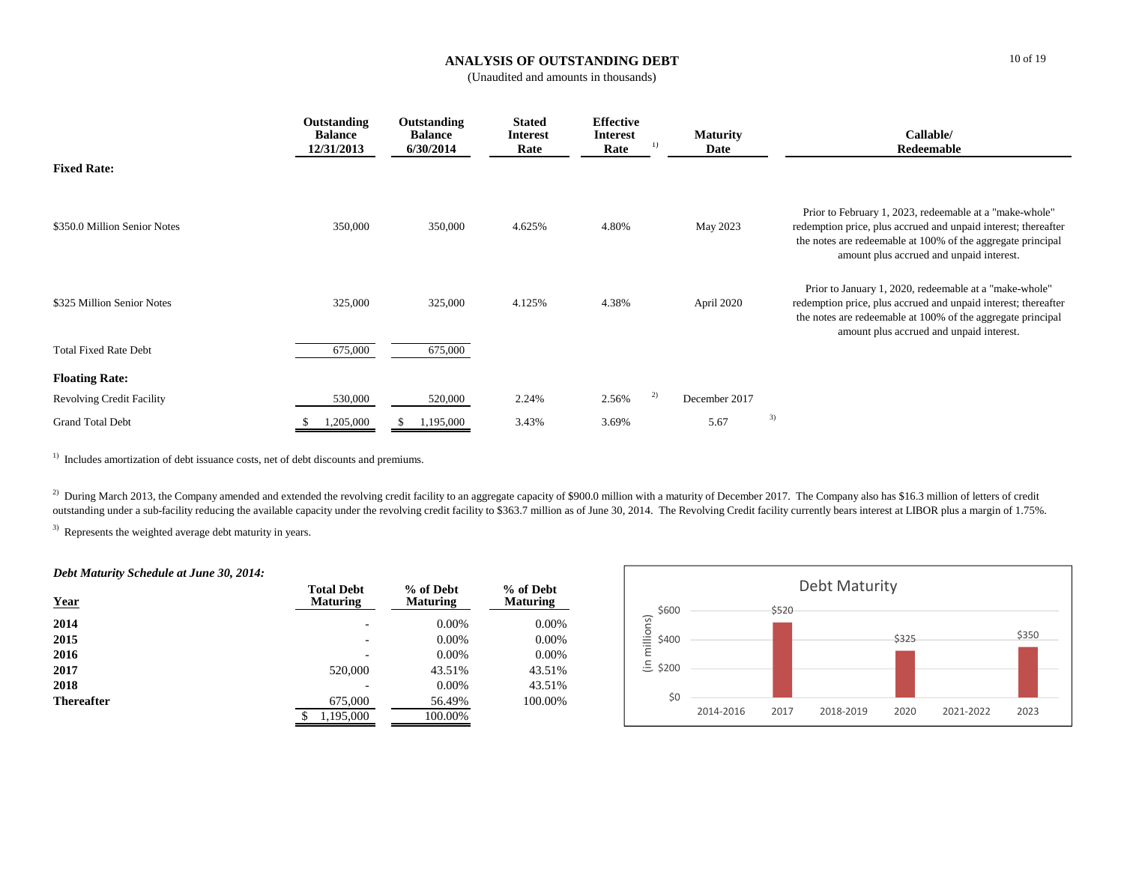# **ANALYSIS OF OUTSTANDING DEBT**

(Unaudited and amounts in thousands)

|                                  | Outstanding<br><b>Balance</b><br>12/31/2013 | Outstanding<br><b>Balance</b><br>6/30/2014 | <b>Stated</b><br><b>Interest</b><br>Rate | <b>Effective</b><br><b>Interest</b><br>Rate | 1) | <b>Maturity</b><br>Date | Callable/<br>Redeemable                                                                                                                                                                                                              |
|----------------------------------|---------------------------------------------|--------------------------------------------|------------------------------------------|---------------------------------------------|----|-------------------------|--------------------------------------------------------------------------------------------------------------------------------------------------------------------------------------------------------------------------------------|
| <b>Fixed Rate:</b>               |                                             |                                            |                                          |                                             |    |                         |                                                                                                                                                                                                                                      |
| \$350.0 Million Senior Notes     | 350,000                                     | 350,000                                    | 4.625%                                   | 4.80%                                       |    | May 2023                | Prior to February 1, 2023, redeemable at a "make-whole"<br>redemption price, plus accrued and unpaid interest; thereafter<br>the notes are redeemable at 100% of the aggregate principal<br>amount plus accrued and unpaid interest. |
| \$325 Million Senior Notes       | 325,000                                     | 325,000                                    | 4.125%                                   | 4.38%                                       |    | April 2020              | Prior to January 1, 2020, redeemable at a "make-whole"<br>redemption price, plus accrued and unpaid interest; thereafter<br>the notes are redeemable at 100% of the aggregate principal<br>amount plus accrued and unpaid interest.  |
| <b>Total Fixed Rate Debt</b>     | 675,000                                     | 675,000                                    |                                          |                                             |    |                         |                                                                                                                                                                                                                                      |
| <b>Floating Rate:</b>            |                                             |                                            |                                          |                                             |    |                         |                                                                                                                                                                                                                                      |
| <b>Revolving Credit Facility</b> | 530,000                                     | 520,000                                    | 2.24%                                    | 2.56%                                       | 2) | December 2017           |                                                                                                                                                                                                                                      |
| <b>Grand Total Debt</b>          | 1,205,000                                   | 1,195,000                                  | 3.43%                                    | 3.69%                                       |    | 5.67                    | 3)                                                                                                                                                                                                                                   |

<sup>1)</sup> Includes amortization of debt issuance costs, net of debt discounts and premiums.

<sup>2)</sup> During March 2013, the Company amended and extended the revolving credit facility to an aggregate capacity of \$900.0 million with a maturity of December 2017. The Company also has \$16.3 million of letters of credit outstanding under a sub-facility reducing the available capacity under the revolving credit facility to \$363.7 million as of June 30, 2014. The Revolving Credit facility currently bears interest at LIBOR plus a margin of 1

<sup>3)</sup> Represents the weighted average debt maturity in years.

### *Debt Maturity Schedule at June 30, 2014:*

| <b>Year</b>       | <b>Total Debt</b><br><b>Maturing</b> | % of Debt<br><b>Maturing</b> | % of Debt<br><b>Maturing</b> |
|-------------------|--------------------------------------|------------------------------|------------------------------|
| 2014              |                                      | $0.00\%$                     | $0.00\%$                     |
| 2015              | $\overline{\phantom{0}}$             | $0.00\%$                     | 0.00%                        |
| 2016              | $\overline{\phantom{0}}$             | $0.00\%$                     | 0.00%                        |
| 2017              | 520,000                              | 43.51%                       | 43.51%                       |
| 2018              |                                      | $0.00\%$                     | 43.51%                       |
| <b>Thereafter</b> | 675,000                              | 56.49%                       | 100.00%                      |
|                   | 1,195,000<br>\$                      | 100.00%                      |                              |

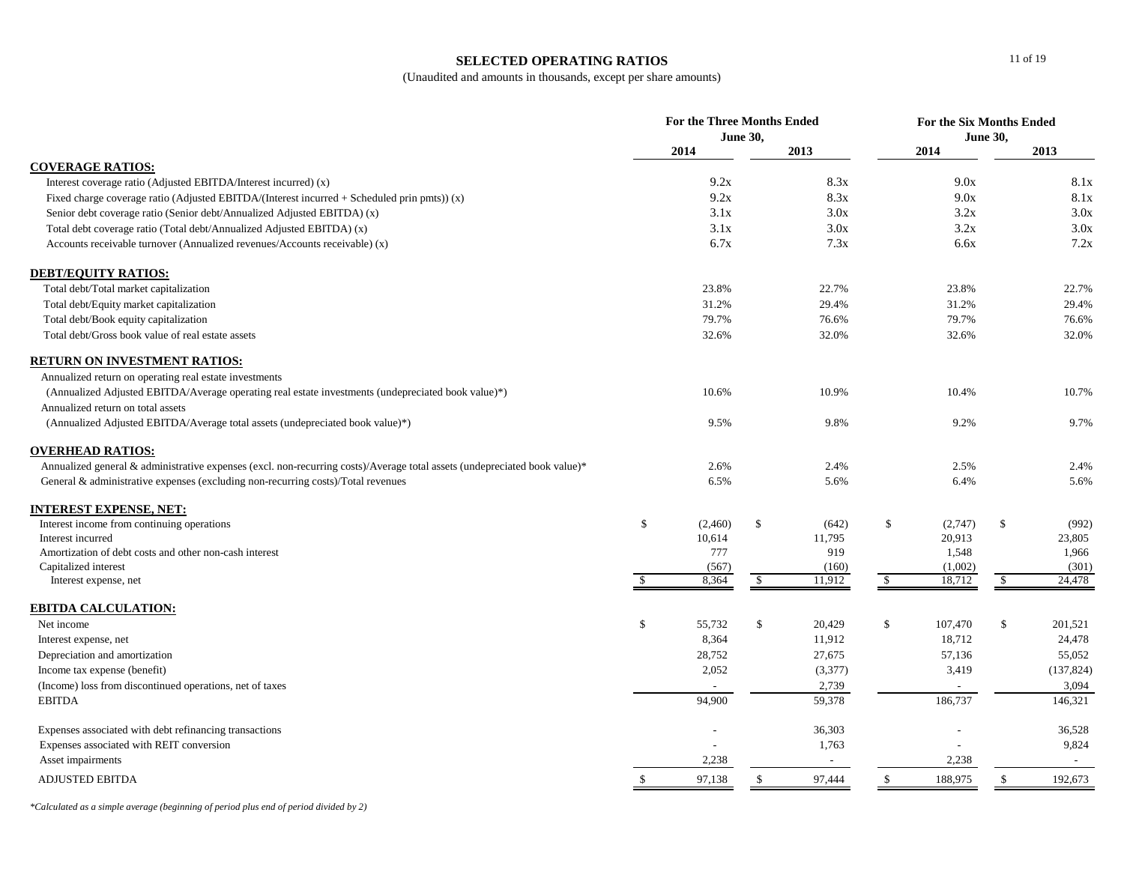### **SELECTED OPERATING RATIOS**

(Unaudited and amounts in thousands, except per share amounts)

|                                                                                                                           | <b>For the Three Months Ended</b><br><b>June 30,</b> |         |               |         | <b>For the Six Months Ended</b><br><b>June 30,</b> |         |              |            |
|---------------------------------------------------------------------------------------------------------------------------|------------------------------------------------------|---------|---------------|---------|----------------------------------------------------|---------|--------------|------------|
|                                                                                                                           |                                                      | 2014    |               | 2013    |                                                    | 2014    |              | 2013       |
| <b>COVERAGE RATIOS:</b>                                                                                                   |                                                      |         |               |         |                                                    |         |              |            |
| Interest coverage ratio (Adjusted EBITDA/Interest incurred) (x)                                                           |                                                      | 9.2x    |               | 8.3x    |                                                    | 9.0x    |              | 8.1x       |
| Fixed charge coverage ratio (Adjusted EBITDA/(Interest incurred $+$ Scheduled prin pmts)) (x)                             |                                                      | 9.2x    |               | 8.3x    |                                                    | 9.0x    |              | 8.1x       |
| Senior debt coverage ratio (Senior debt/Annualized Adjusted EBITDA) (x)                                                   |                                                      | 3.1x    |               | 3.0x    |                                                    | 3.2x    |              | 3.0x       |
| Total debt coverage ratio (Total debt/Annualized Adjusted EBITDA) (x)                                                     |                                                      | 3.1x    |               | 3.0x    |                                                    | 3.2x    |              | 3.0x       |
| Accounts receivable turnover (Annualized revenues/Accounts receivable) (x)                                                |                                                      | 6.7x    |               | 7.3x    |                                                    | 6.6x    |              | 7.2x       |
| <b>DEBT/EQUITY RATIOS:</b>                                                                                                |                                                      |         |               |         |                                                    |         |              |            |
| Total debt/Total market capitalization                                                                                    |                                                      | 23.8%   |               | 22.7%   |                                                    | 23.8%   |              | 22.7%      |
| Total debt/Equity market capitalization                                                                                   |                                                      | 31.2%   |               | 29.4%   |                                                    | 31.2%   |              | 29.4%      |
| Total debt/Book equity capitalization                                                                                     |                                                      | 79.7%   |               | 76.6%   |                                                    | 79.7%   |              | 76.6%      |
| Total debt/Gross book value of real estate assets                                                                         |                                                      | 32.6%   |               | 32.0%   |                                                    | 32.6%   |              | 32.0%      |
| <b>RETURN ON INVESTMENT RATIOS:</b>                                                                                       |                                                      |         |               |         |                                                    |         |              |            |
| Annualized return on operating real estate investments                                                                    |                                                      |         |               |         |                                                    |         |              |            |
| (Annualized Adjusted EBITDA/Average operating real estate investments (undepreciated book value)*)                        |                                                      | 10.6%   |               | 10.9%   |                                                    | 10.4%   |              | 10.7%      |
| Annualized return on total assets                                                                                         |                                                      |         |               |         |                                                    |         |              |            |
| (Annualized Adjusted EBITDA/Average total assets (undepreciated book value)*)                                             |                                                      | 9.5%    |               | 9.8%    |                                                    | 9.2%    |              | 9.7%       |
| <b>OVERHEAD RATIOS:</b>                                                                                                   |                                                      |         |               |         |                                                    |         |              |            |
| Annualized general & administrative expenses (excl. non-recurring costs)/Average total assets (undepreciated book value)* |                                                      | 2.6%    |               | 2.4%    |                                                    | 2.5%    |              | 2.4%       |
| General & administrative expenses (excluding non-recurring costs)/Total revenues                                          |                                                      | 6.5%    |               | 5.6%    |                                                    | 6.4%    |              | 5.6%       |
| <u>INTEREST EXPENSE, NET:</u>                                                                                             |                                                      |         |               |         |                                                    |         |              |            |
| Interest income from continuing operations                                                                                | \$                                                   | (2,460) | $\mathbb{S}$  | (642)   | \$                                                 | (2,747) | \$           | (992)      |
| Interest incurred                                                                                                         |                                                      | 10,614  |               | 11,795  |                                                    | 20,913  |              | 23,805     |
| Amortization of debt costs and other non-cash interest                                                                    |                                                      | 777     |               | 919     |                                                    | 1,548   |              | 1,966      |
| Capitalized interest                                                                                                      |                                                      | (567)   |               | (160)   |                                                    | (1,002) |              | (301)      |
| Interest expense, net                                                                                                     |                                                      | 8,364   | \$            | 11,912  | \$                                                 | 18,712  | \$           | 24,478     |
| EBITDA CALCULATION:                                                                                                       |                                                      |         |               |         |                                                    |         |              |            |
| Net income                                                                                                                | \$                                                   | 55,732  | \$            | 20,429  | \$                                                 | 107,470 | \$           | 201,521    |
| Interest expense, net                                                                                                     |                                                      | 8,364   |               | 11,912  |                                                    | 18,712  |              | 24,478     |
| Depreciation and amortization                                                                                             |                                                      | 28,752  |               | 27,675  |                                                    | 57,136  |              | 55,052     |
| Income tax expense (benefit)                                                                                              |                                                      | 2,052   |               | (3,377) |                                                    | 3,419   |              | (137, 824) |
| (Income) loss from discontinued operations, net of taxes                                                                  |                                                      |         |               | 2,739   |                                                    |         |              | 3,094      |
| <b>EBITDA</b>                                                                                                             |                                                      | 94,900  |               | 59,378  |                                                    | 186,737 |              | 146,321    |
| Expenses associated with debt refinancing transactions                                                                    |                                                      |         |               | 36,303  |                                                    |         |              | 36,528     |
| Expenses associated with REIT conversion                                                                                  |                                                      |         |               | 1,763   |                                                    |         |              | 9,824      |
| Asset impairments                                                                                                         |                                                      | 2,238   |               | $\sim$  |                                                    | 2,238   |              | $\sim$     |
| <b>ADJUSTED EBITDA</b>                                                                                                    | \$                                                   | 97,138  | <sup>\$</sup> | 97,444  | $\mathbb{S}$                                       | 188,975 | $\mathbb{S}$ | 192,673    |

*\*Calculated as a simple average (beginning of period plus end of period divided by 2)*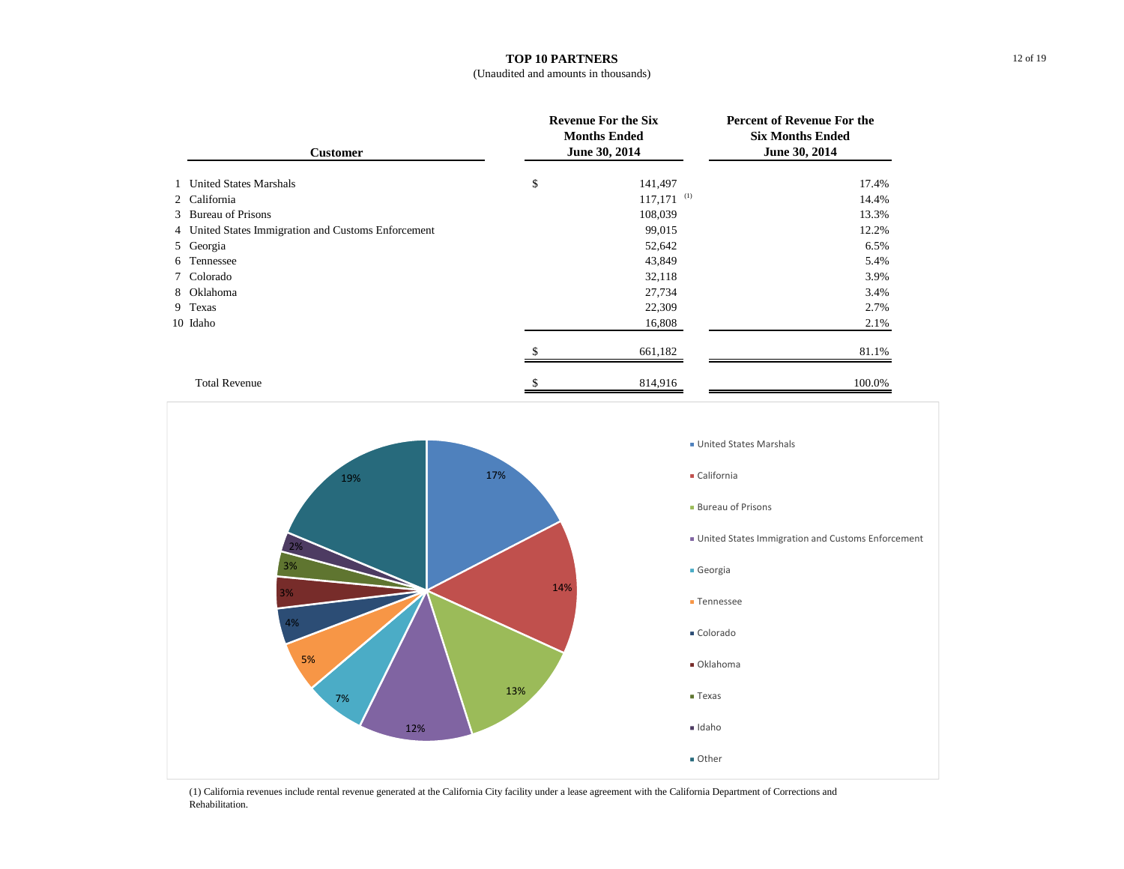## **TOP 10 PARTNERS**

| <b>Customer</b>                                     | <b>Revenue For the Six</b><br><b>Months Ended</b><br>June 30, 2014 | <b>Percent of Revenue For the</b><br><b>Six Months Ended</b><br>June 30, 2014 |
|-----------------------------------------------------|--------------------------------------------------------------------|-------------------------------------------------------------------------------|
| 1 United States Marshals                            | \$<br>141,497                                                      | 17.4%                                                                         |
| 2 California                                        | $117,171$ <sup>(1)</sup>                                           | 14.4%                                                                         |
| 3 Bureau of Prisons                                 | 108,039                                                            | 13.3%                                                                         |
| 4 United States Immigration and Customs Enforcement | 99,015                                                             | 12.2%                                                                         |
| 5 Georgia                                           | 52,642                                                             | 6.5%                                                                          |
| 6 Tennessee                                         | 43,849                                                             | 5.4%                                                                          |
| 7 Colorado                                          | 32,118                                                             | 3.9%                                                                          |
| 8 Oklahoma                                          | 27,734                                                             | 3.4%                                                                          |
| 9 Texas                                             | 22,309                                                             | 2.7%                                                                          |
| 10 Idaho                                            | 16,808                                                             | 2.1%                                                                          |
|                                                     | 661,182                                                            | 81.1%                                                                         |
| <b>Total Revenue</b>                                | \$<br>814,916                                                      | 100.0%                                                                        |



(1) California revenues include rental revenue generated at the California City facility under a lease agreement with the California Department of Corrections and Rehabilitation.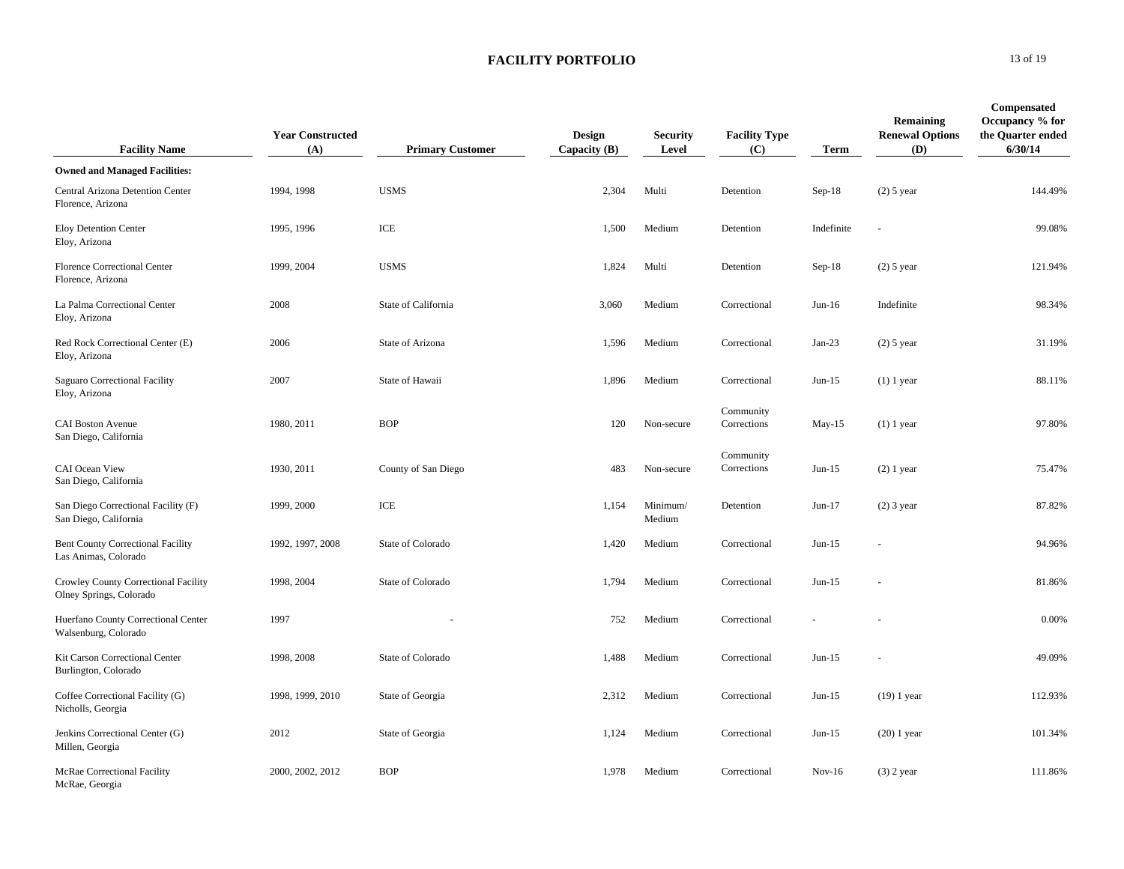| <b>Facility Name</b>                                             | <b>Year Constructed</b><br>(A) | <b>Primary Customer</b> | <b>Design</b><br>Capacity $(B)$ | <b>Security</b><br>Level | <b>Facility Type</b><br>(C) | <b>Term</b> | Remaining<br><b>Renewal Options</b><br>(D) | Compensated<br>Occupancy % for<br>the Quarter ended<br>6/30/14 |
|------------------------------------------------------------------|--------------------------------|-------------------------|---------------------------------|--------------------------|-----------------------------|-------------|--------------------------------------------|----------------------------------------------------------------|
| <b>Owned and Managed Facilities:</b>                             |                                |                         |                                 |                          |                             |             |                                            |                                                                |
| Central Arizona Detention Center<br>Florence, Arizona            | 1994, 1998                     | <b>USMS</b>             | 2,304                           | Multi                    | Detention                   | $Sep-18$    | $(2)$ 5 year                               | 144.49%                                                        |
| Eloy Detention Center<br>Eloy, Arizona                           | 1995, 1996                     | ICE                     | 1,500                           | Medium                   | Detention                   | Indefinite  |                                            | 99.08%                                                         |
| <b>Florence Correctional Center</b><br>Florence, Arizona         | 1999, 2004                     | <b>USMS</b>             | 1,824                           | Multi                    | Detention                   | $Sep-18$    | $(2)$ 5 year                               | 121.94%                                                        |
| La Palma Correctional Center<br>Eloy, Arizona                    | 2008                           | State of California     | 3,060                           | Medium                   | Correctional                | $Jun-16$    | Indefinite                                 | 98.34%                                                         |
| Red Rock Correctional Center (E)<br>Eloy, Arizona                | 2006                           | State of Arizona        | 1,596                           | Medium                   | Correctional                | $Jan-23$    | $(2)$ 5 year                               | 31.19%                                                         |
| Saguaro Correctional Facility<br>Eloy, Arizona                   | 2007                           | State of Hawaii         | 1,896                           | Medium                   | Correctional                | $Jun-15$    | $(1)$ 1 year                               | 88.11%                                                         |
| <b>CAI Boston Avenue</b><br>San Diego, California                | 1980, 2011                     | <b>BOP</b>              | 120                             | Non-secure               | Community<br>Corrections    | May-15      | $(1)$ 1 year                               | 97.80%                                                         |
| CAI Ocean View<br>San Diego, California                          | 1930, 2011                     | County of San Diego     | 483                             | Non-secure               | Community<br>Corrections    | $Jun-15$    | $(2)$ 1 year                               | 75.47%                                                         |
| San Diego Correctional Facility (F)<br>San Diego, California     | 1999, 2000                     | ICE                     | 1,154                           | Minimum/<br>Medium       | Detention                   | $Jun-17$    | $(2)$ 3 year                               | 87.82%                                                         |
| <b>Bent County Correctional Facility</b><br>Las Animas, Colorado | 1992, 1997, 2008               | State of Colorado       | 1,420                           | Medium                   | Correctional                | $Jun-15$    |                                            | 94.96%                                                         |
| Crowley County Correctional Facility<br>Olney Springs, Colorado  | 1998, 2004                     | State of Colorado       | 1,794                           | Medium                   | Correctional                | $Jun-15$    |                                            | 81.86%                                                         |
| Huerfano County Correctional Center<br>Walsenburg, Colorado      | 1997                           |                         | 752                             | Medium                   | Correctional                |             |                                            | 0.00%                                                          |
| Kit Carson Correctional Center<br>Burlington, Colorado           | 1998, 2008                     | State of Colorado       | 1,488                           | Medium                   | Correctional                | $Jun-15$    |                                            | 49.09%                                                         |
| Coffee Correctional Facility (G)<br>Nicholls, Georgia            | 1998, 1999, 2010               | State of Georgia        | 2,312                           | Medium                   | Correctional                | $Jun-15$    | $(19)$ 1 year                              | 112.93%                                                        |
| Jenkins Correctional Center (G)<br>Millen, Georgia               | 2012                           | State of Georgia        | 1,124                           | Medium                   | Correctional                | $Jun-15$    | $(20)$ 1 year                              | 101.34%                                                        |
| McRae Correctional Facility<br>McRae, Georgia                    | 2000, 2002, 2012               | <b>BOP</b>              | 1,978                           | Medium                   | Correctional                | $Nov-16$    | $(3)$ 2 year                               | 111.86%                                                        |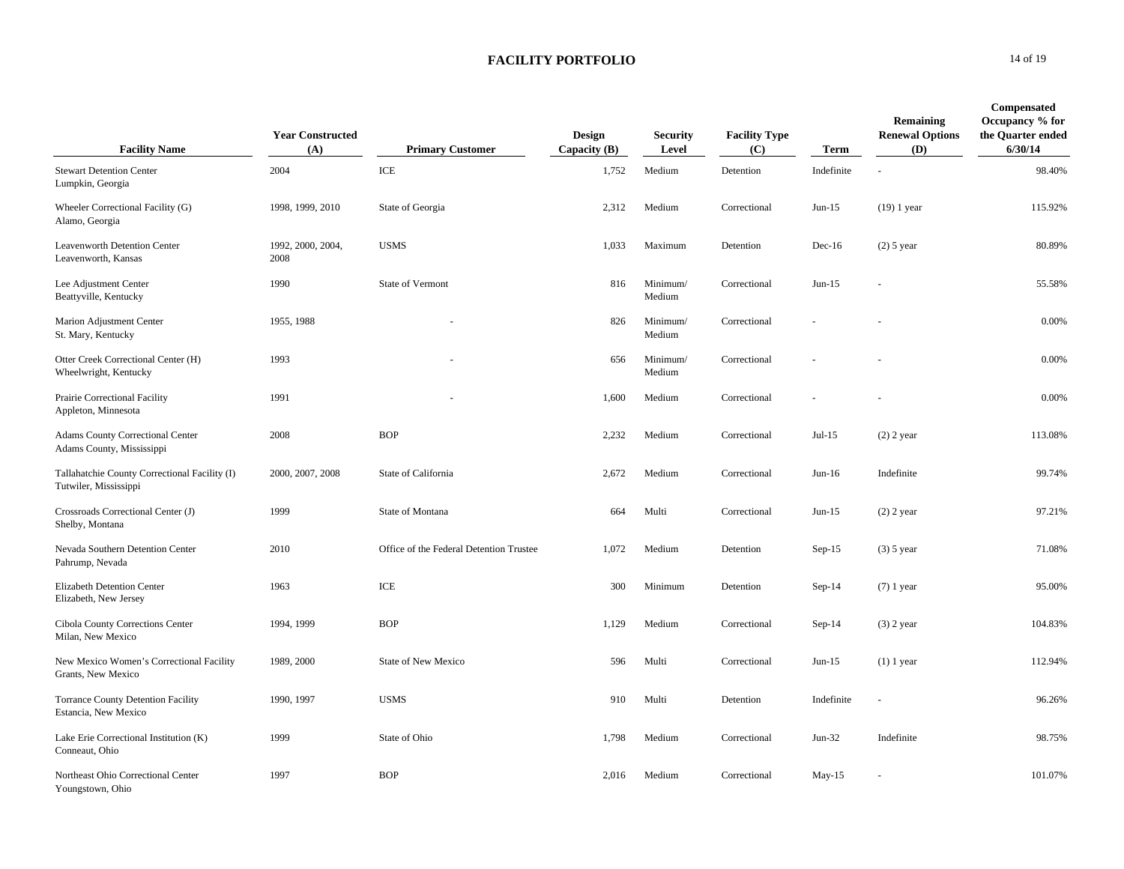| <b>Facility Name</b>                                                   | <b>Year Constructed</b><br>(A) | <b>Primary Customer</b>                 | <b>Design</b><br>Capacity $(B)$ | <b>Security</b><br>Level | <b>Facility Type</b><br>(C) | Term       | Remaining<br><b>Renewal Options</b><br>(D) | Compensated<br>Occupancy % for<br>the Quarter ended<br>6/30/14 |
|------------------------------------------------------------------------|--------------------------------|-----------------------------------------|---------------------------------|--------------------------|-----------------------------|------------|--------------------------------------------|----------------------------------------------------------------|
| <b>Stewart Detention Center</b><br>Lumpkin, Georgia                    | 2004                           | ICE                                     | 1,752                           | Medium                   | Detention                   | Indefinite |                                            | 98.40%                                                         |
| Wheeler Correctional Facility (G)<br>Alamo, Georgia                    | 1998, 1999, 2010               | State of Georgia                        | 2,312                           | Medium                   | Correctional                | $Jun-15$   | $(19)$ 1 year                              | 115.92%                                                        |
| Leavenworth Detention Center<br>Leavenworth, Kansas                    | 1992, 2000, 2004,<br>2008      | <b>USMS</b>                             | 1,033                           | Maximum                  | Detention                   | $Dec-16$   | $(2)$ 5 year                               | 80.89%                                                         |
| Lee Adjustment Center<br>Beattyville, Kentucky                         | 1990                           | State of Vermont                        | 816                             | Minimum/<br>Medium       | Correctional                | $Jun-15$   |                                            | 55.58%                                                         |
| Marion Adjustment Center<br>St. Mary, Kentucky                         | 1955, 1988                     |                                         | 826                             | Minimum/<br>Medium       | Correctional                |            |                                            | 0.00%                                                          |
| Otter Creek Correctional Center (H)<br>Wheelwright, Kentucky           | 1993                           |                                         | 656                             | Minimum/<br>Medium       | Correctional                |            |                                            | 0.00%                                                          |
| Prairie Correctional Facility<br>Appleton, Minnesota                   | 1991                           |                                         | 1,600                           | Medium                   | Correctional                |            |                                            | 0.00%                                                          |
| Adams County Correctional Center<br>Adams County, Mississippi          | 2008                           | <b>BOP</b>                              | 2,232                           | Medium                   | Correctional                | $Jul-15$   | $(2)$ 2 year                               | 113.08%                                                        |
| Tallahatchie County Correctional Facility (I)<br>Tutwiler, Mississippi | 2000, 2007, 2008               | State of California                     | 2,672                           | Medium                   | Correctional                | $Jun-16$   | Indefinite                                 | 99.74%                                                         |
| Crossroads Correctional Center (J)<br>Shelby, Montana                  | 1999                           | State of Montana                        | 664                             | Multi                    | Correctional                | $Jun-15$   | $(2)$ 2 year                               | 97.21%                                                         |
| Nevada Southern Detention Center<br>Pahrump, Nevada                    | 2010                           | Office of the Federal Detention Trustee | 1,072                           | Medium                   | Detention                   | $Sep-15$   | $(3)$ 5 year                               | 71.08%                                                         |
| Elizabeth Detention Center<br>Elizabeth, New Jersey                    | 1963                           | ICE                                     | 300                             | Minimum                  | Detention                   | $Sep-14$   | $(7)$ 1 year                               | 95.00%                                                         |
| Cibola County Corrections Center<br>Milan, New Mexico                  | 1994, 1999                     | <b>BOP</b>                              | 1,129                           | Medium                   | Correctional                | $Sep-14$   | $(3)$ 2 year                               | 104.83%                                                        |
| New Mexico Women's Correctional Facility<br>Grants, New Mexico         | 1989, 2000                     | State of New Mexico                     | 596                             | Multi                    | Correctional                | $Jun-15$   | $(1)$ 1 year                               | 112.94%                                                        |
| <b>Torrance County Detention Facility</b><br>Estancia, New Mexico      | 1990, 1997                     | <b>USMS</b>                             | 910                             | Multi                    | Detention                   | Indefinite |                                            | 96.26%                                                         |
| Lake Erie Correctional Institution (K)<br>Conneaut, Ohio               | 1999                           | State of Ohio                           | 1,798                           | Medium                   | Correctional                | $Jun-32$   | Indefinite                                 | 98.75%                                                         |
| Northeast Ohio Correctional Center<br>Youngstown, Ohio                 | 1997                           | <b>BOP</b>                              | 2,016                           | Medium                   | Correctional                | $May-15$   |                                            | 101.07%                                                        |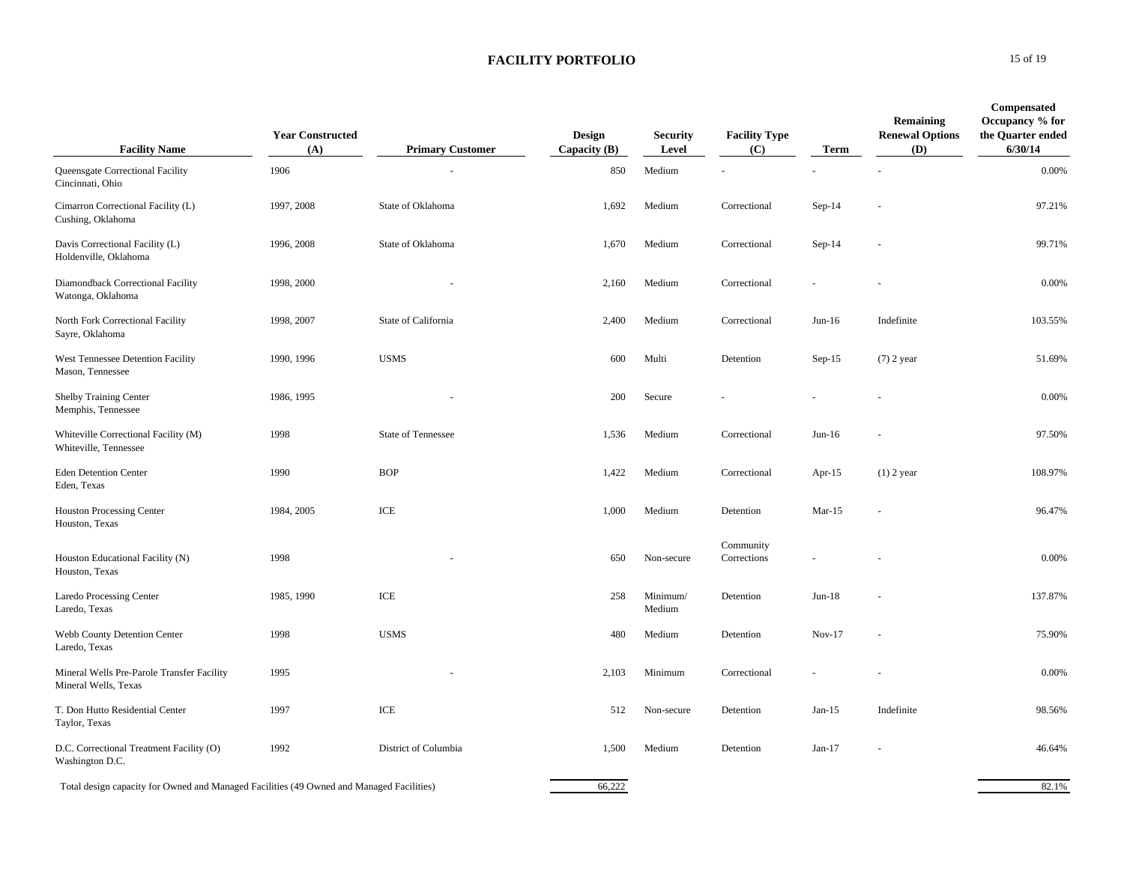| <b>Facility Name</b>                                                                     | <b>Year Constructed</b><br>(A) | <b>Primary Customer</b> | <b>Design</b><br>Capacity (B) | <b>Security</b><br>Level | <b>Facility Type</b><br>(C) | <b>Term</b> | Remaining<br><b>Renewal Options</b><br>(D) | <b>Compensated</b><br>Occupancy % for<br>the Quarter ended<br>6/30/14 |
|------------------------------------------------------------------------------------------|--------------------------------|-------------------------|-------------------------------|--------------------------|-----------------------------|-------------|--------------------------------------------|-----------------------------------------------------------------------|
| Queensgate Correctional Facility<br>Cincinnati, Ohio                                     | 1906                           |                         | 850                           | Medium                   |                             |             |                                            | $0.00\%$                                                              |
| Cimarron Correctional Facility (L)<br>Cushing, Oklahoma                                  | 1997, 2008                     | State of Oklahoma       | 1,692                         | Medium                   | Correctional                | $Sep-14$    |                                            | 97.21%                                                                |
| Davis Correctional Facility (L)<br>Holdenville, Oklahoma                                 | 1996, 2008                     | State of Oklahoma       | 1,670                         | Medium                   | Correctional                | $Sep-14$    |                                            | 99.71%                                                                |
| Diamondback Correctional Facility<br>Watonga, Oklahoma                                   | 1998, 2000                     |                         | 2,160                         | Medium                   | Correctional                | ÷,          | $\overline{a}$                             | 0.00%                                                                 |
| North Fork Correctional Facility<br>Sayre, Oklahoma                                      | 1998, 2007                     | State of California     | 2,400                         | Medium                   | Correctional                | $Jun-16$    | Indefinite                                 | 103.55%                                                               |
| West Tennessee Detention Facility<br>Mason, Tennessee                                    | 1990, 1996                     | <b>USMS</b>             | 600                           | Multi                    | Detention                   | $Sep-15$    | $(7)$ 2 year                               | 51.69%                                                                |
| Shelby Training Center<br>Memphis, Tennessee                                             | 1986, 1995                     |                         | 200                           | Secure                   |                             |             |                                            | 0.00%                                                                 |
| Whiteville Correctional Facility (M)<br>Whiteville, Tennessee                            | 1998                           | State of Tennessee      | 1,536                         | Medium                   | Correctional                | $Jun-16$    |                                            | 97.50%                                                                |
| <b>Eden Detention Center</b><br>Eden, Texas                                              | 1990                           | <b>BOP</b>              | 1,422                         | Medium                   | Correctional                | Apr- $15$   | $(1)$ 2 year                               | 108.97%                                                               |
| <b>Houston Processing Center</b><br>Houston, Texas                                       | 1984, 2005                     | ICE                     | 1,000                         | Medium                   | Detention                   | $Mar-15$    |                                            | 96.47%                                                                |
| Houston Educational Facility (N)<br>Houston, Texas                                       | 1998                           |                         | 650                           | Non-secure               | Community<br>Corrections    |             |                                            | 0.00%                                                                 |
| <b>Laredo Processing Center</b><br>Laredo, Texas                                         | 1985, 1990                     | ICE                     | 258                           | Minimum/<br>Medium       | Detention                   | $Jun-18$    |                                            | 137.87%                                                               |
| Webb County Detention Center<br>Laredo, Texas                                            | 1998                           | <b>USMS</b>             | 480                           | Medium                   | Detention                   | $Nov-17$    |                                            | 75.90%                                                                |
| Mineral Wells Pre-Parole Transfer Facility<br>Mineral Wells, Texas                       | 1995                           |                         | 2,103                         | Minimum                  | Correctional                |             |                                            | 0.00%                                                                 |
| T. Don Hutto Residential Center<br>Taylor, Texas                                         | 1997                           | ICE                     | 512                           | Non-secure               | Detention                   | $Jan-15$    | Indefinite                                 | 98.56%                                                                |
| D.C. Correctional Treatment Facility (O)<br>Washington D.C.                              | 1992                           | District of Columbia    | 1,500                         | Medium                   | Detention                   | Jan- $17$   |                                            | 46.64%                                                                |
| Total design capacity for Owned and Managed Facilities (49 Owned and Managed Facilities) |                                |                         | 66,222                        |                          |                             |             |                                            | 82.1%                                                                 |

**0** 15 of 19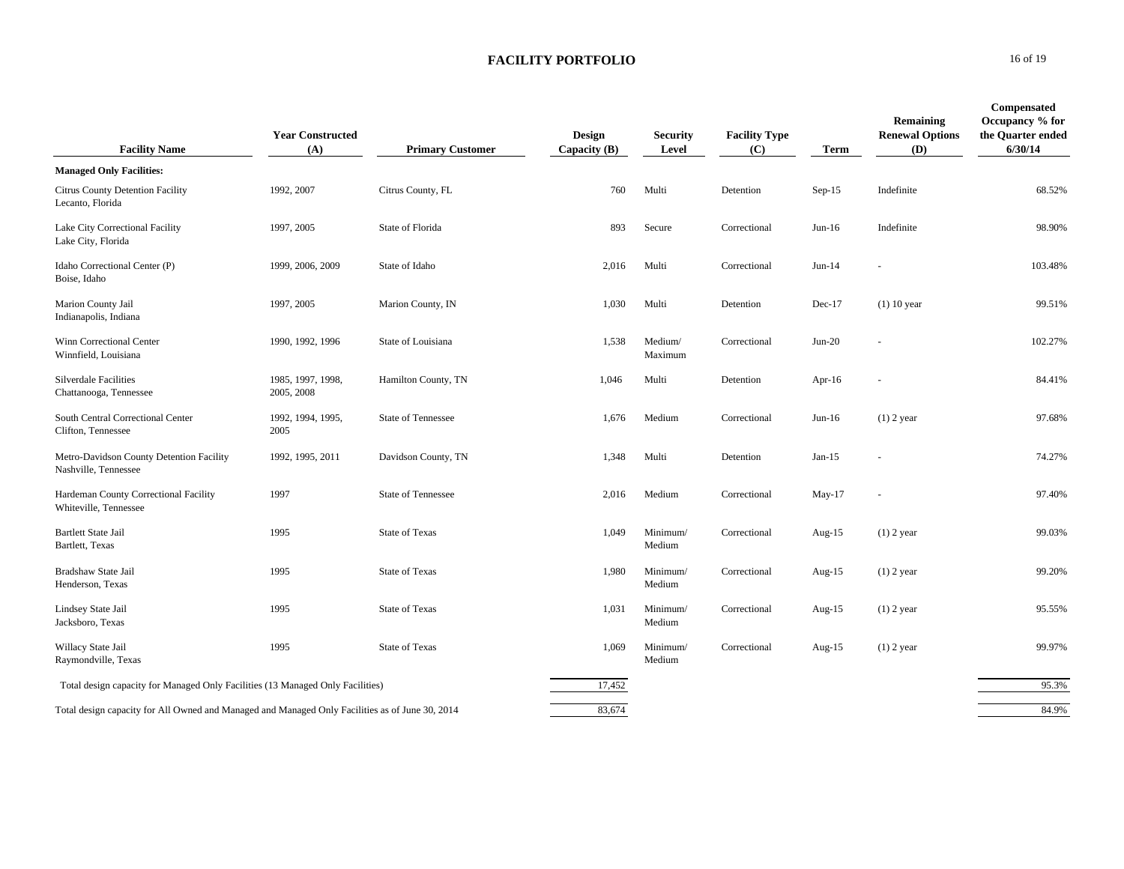| <b>Facility Name</b>                                                                            | <b>Year Constructed</b><br>(A)  | <b>Primary Customer</b> | Design<br>Capacity (B) | <b>Security</b><br>Level | <b>Facility Type</b><br>(C) | <b>Term</b> | Remaining<br><b>Renewal Options</b><br>(D) | Compensated<br>Occupancy % for<br>the Quarter ended<br>6/30/14 |
|-------------------------------------------------------------------------------------------------|---------------------------------|-------------------------|------------------------|--------------------------|-----------------------------|-------------|--------------------------------------------|----------------------------------------------------------------|
| <b>Managed Only Facilities:</b>                                                                 |                                 |                         |                        |                          |                             |             |                                            |                                                                |
| Citrus County Detention Facility<br>Lecanto, Florida                                            | 1992, 2007                      | Citrus County, FL       | 760                    | Multi                    | Detention                   | Sep-15      | Indefinite                                 | 68.52%                                                         |
| Lake City Correctional Facility<br>Lake City, Florida                                           | 1997, 2005                      | State of Florida        | 893                    | Secure                   | Correctional                | $Jun-16$    | Indefinite                                 | 98.90%                                                         |
| Idaho Correctional Center (P)<br>Boise, Idaho                                                   | 1999, 2006, 2009                | State of Idaho          | 2,016                  | Multi                    | Correctional                | $Jun-14$    |                                            | 103.48%                                                        |
| Marion County Jail<br>Indianapolis, Indiana                                                     | 1997, 2005                      | Marion County, IN       | 1,030                  | Multi                    | Detention                   | $Dec-17$    | $(1)$ 10 year                              | 99.51%                                                         |
| Winn Correctional Center<br>Winnfield, Louisiana                                                | 1990, 1992, 1996                | State of Louisiana      | 1,538                  | Medium/<br>Maximum       | Correctional                | $Jun-20$    |                                            | 102.27%                                                        |
| Silverdale Facilities<br>Chattanooga, Tennessee                                                 | 1985, 1997, 1998,<br>2005, 2008 | Hamilton County, TN     | 1,046                  | Multi                    | Detention                   | Apr- $16$   |                                            | 84.41%                                                         |
| South Central Correctional Center<br>Clifton, Tennessee                                         | 1992, 1994, 1995,<br>2005       | State of Tennessee      | 1,676                  | Medium                   | Correctional                | $Jun-16$    | $(1)$ 2 year                               | 97.68%                                                         |
| Metro-Davidson County Detention Facility<br>Nashville, Tennessee                                | 1992, 1995, 2011                | Davidson County, TN     | 1,348                  | Multi                    | Detention                   | $Jan-15$    |                                            | 74.27%                                                         |
| Hardeman County Correctional Facility<br>Whiteville, Tennessee                                  | 1997                            | State of Tennessee      | 2,016                  | Medium                   | Correctional                | May-17      |                                            | 97.40%                                                         |
| <b>Bartlett State Jail</b><br>Bartlett, Texas                                                   | 1995                            | <b>State of Texas</b>   | 1,049                  | Minimum/<br>Medium       | Correctional                | Aug- $15$   | $(1)$ 2 year                               | 99.03%                                                         |
| Bradshaw State Jail<br>Henderson, Texas                                                         | 1995                            | <b>State of Texas</b>   | 1,980                  | Minimum/<br>Medium       | Correctional                | Aug-15      | $(1)$ 2 year                               | 99.20%                                                         |
| Lindsey State Jail<br>Jacksboro, Texas                                                          | 1995                            | <b>State of Texas</b>   | 1,031                  | Minimum/<br>Medium       | Correctional                | Aug- $15$   | $(1)$ 2 year                               | 95.55%                                                         |
| Willacy State Jail<br>Raymondville, Texas                                                       | 1995                            | State of Texas          | 1,069                  | Minimum/<br>Medium       | Correctional                | Aug- $15$   | $(1)$ 2 year                               | 99.97%                                                         |
| Total design capacity for Managed Only Facilities (13 Managed Only Facilities)                  |                                 |                         | 17,452                 |                          |                             |             |                                            | 95.3%                                                          |
| Total design capacity for All Owned and Managed and Managed Only Facilities as of June 30, 2014 |                                 |                         | 83,674                 |                          |                             |             |                                            | 84.9%                                                          |

#### **0** 16 of 19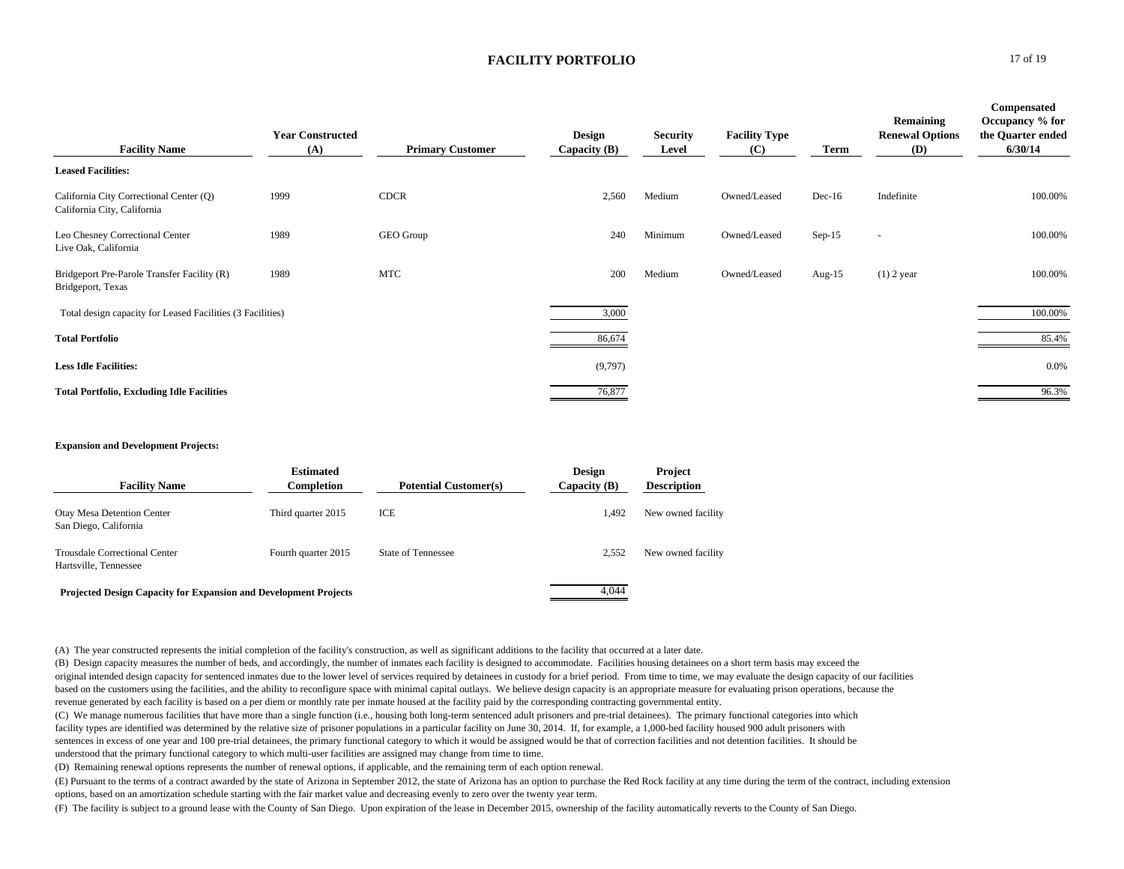| <b>Facility Name</b>                                                   | <b>Year Constructed</b><br>(A) | <b>Primary Customer</b> | <b>Design</b><br>Capacity $(B)$ | <b>Security</b><br>Level | <b>Facility Type</b><br>(C) | Term      | <b>Remaining</b><br><b>Renewal Options</b><br>(D) | <b>Compensated</b><br>Occupancy % for<br>the Quarter ended<br>6/30/14 |
|------------------------------------------------------------------------|--------------------------------|-------------------------|---------------------------------|--------------------------|-----------------------------|-----------|---------------------------------------------------|-----------------------------------------------------------------------|
| <b>Leased Facilities:</b>                                              |                                |                         |                                 |                          |                             |           |                                                   |                                                                       |
| California City Correctional Center (Q)<br>California City, California | 1999                           | <b>CDCR</b>             | 2,560                           | Medium                   | Owned/Leased                | $Dec-16$  | Indefinite                                        | 100.00%                                                               |
| Leo Chesney Correctional Center<br>Live Oak, California                | 1989                           | GEO Group               | 240                             | Minimum                  | Owned/Leased                | $Sep-15$  |                                                   | 100.00%                                                               |
| Bridgeport Pre-Parole Transfer Facility (R)<br>Bridgeport, Texas       | 1989                           | <b>MTC</b>              | 200                             | Medium                   | Owned/Leased                | Aug- $15$ | $(1)$ 2 year                                      | 100.00%                                                               |
| Total design capacity for Leased Facilities (3 Facilities)             |                                |                         | 3,000                           |                          |                             |           |                                                   | 100.00%                                                               |
| <b>Total Portfolio</b>                                                 |                                |                         | 86,674                          |                          |                             |           |                                                   | 85.4%                                                                 |
| <b>Less Idle Facilities:</b>                                           |                                |                         | (9,797)                         |                          |                             |           |                                                   | 0.0%                                                                  |
| <b>Total Portfolio, Excluding Idle Facilities</b>                      |                                |                         | 76,877                          |                          |                             |           |                                                   | 96.3%                                                                 |

#### **Expansion and Development Projects:**

| <b>Facility Name</b>                                             | <b>Estimated</b><br>Completion | <b>Potential Customer(s)</b> | <b>Design</b><br>Capacity $(B)$ | Project<br><b>Description</b> |
|------------------------------------------------------------------|--------------------------------|------------------------------|---------------------------------|-------------------------------|
| <b>Otay Mesa Detention Center</b><br>San Diego, California       | Third quarter 2015             | ICE                          | 1.492                           | New owned facility            |
| <b>Trousdale Correctional Center</b><br>Hartsville, Tennessee    | Fourth quarter 2015            | <b>State of Tennessee</b>    | 2.552                           | New owned facility            |
| Projected Design Capacity for Expansion and Development Projects |                                |                              | 4.044                           |                               |

(A) The year constructed represents the initial completion of the facility's construction, as well as significant additions to the facility that occurred at a later date.

(B) Design capacity measures the number of beds, and accordingly, the number of inmates each facility is designed to accommodate. Facilities housing detainees on a short term basis may exceed the original intended design capacity for sentenced inmates due to the lower level of services required by detainees in custody for a brief period. From time to time, we may evaluate the design capacity of our facilities based on the customers using the facilities, and the ability to reconfigure space with minimal capital outlays. We believe design capacity is an appropriate measure for evaluating prison operations, because the revenue generated by each facility is based on a per diem or monthly rate per inmate housed at the facility paid by the corresponding contracting governmental entity.

(C) We manage numerous facilities that have more than a single function (i.e., housing both long-term sentenced adult prisoners and pre-trial detainees). The primary functional categories into which facility types are identified was determined by the relative size of prisoner populations in a particular facility on June 30, 2014. If, for example, a 1,000-bed facility housed 900 adult prisoners with sentences in excess of one year and 100 pre-trial detainees, the primary functional category to which it would be assigned would be that of correction facilities and not detention facilities. It should be understood that the primary functional category to which multi-user facilities are assigned may change from time to time.

(D) Remaining renewal options represents the number of renewal options, if applicable, and the remaining term of each option renewal.

(E) Pursuant to the terms of a contract awarded by the state of Arizona in September 2012, the state of Arizona has an option to purchase the Red Rock facility at any time during the term of the contract, including extension options, based on an amortization schedule starting with the fair market value and decreasing evenly to zero over the twenty year term.

(F) The facility is subject to a ground lease with the County of San Diego. Upon expiration of the lease in December 2015, ownership of the facility automatically reverts to the County of San Diego.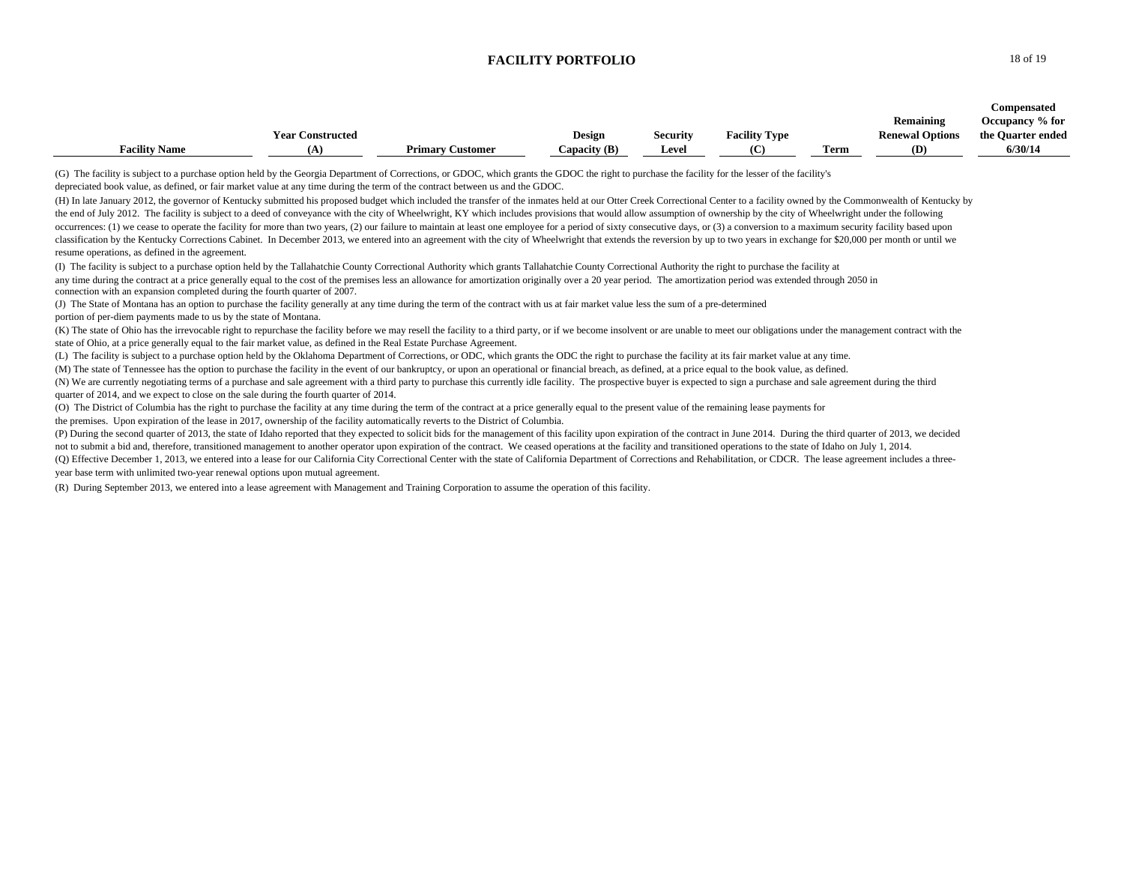|                      |                         |                         |                |                 |                      |      |                        | Compensated       |
|----------------------|-------------------------|-------------------------|----------------|-----------------|----------------------|------|------------------------|-------------------|
|                      |                         |                         |                |                 |                      |      | <b>Remaining</b>       | Occupancy % for   |
|                      | <b>Year Constructed</b> |                         | <b>Design</b>  | <b>Security</b> | <b>Facility Type</b> |      | <b>Renewal Options</b> | the Quarter ended |
| <b>Facility Name</b> | ιn                      | <b>Primary Customer</b> | Capacity $(B)$ | Level           |                      | Term | (D)                    | 6/30/14           |

(G) The facility is subject to a purchase option held by the Georgia Department of Corrections, or GDOC, which grants the GDOC the right to purchase the facility for the lesser of the facility's

depreciated book value, as defined, or fair market value at any time during the term of the contract between us and the GDOC.

(H) In late January 2012, the governor of Kentucky submitted his proposed budget which included the transfer of the inmates held at our Otter Creek Correctional Center to a facility owned by the Commonwealth of Kentucky by the end of July 2012. The facility is subject to a deed of conveyance with the city of Wheelwright, KY which includes provisions that would allow assumption of ownership by the city of Wheelwright under the following occurrences: (1) we cease to operate the facility for more than two years. (2) our failure to maintain at least one employee for a period of sixty consecutive days, or (3) a conversion to a maximum security facility based classification by the Kentucky Corrections Cabinet. In December 2013, we entered into an agreement with the city of Wheelwright that extends the reversion by up to two years in exchange for \$20,000 per month or until we resume operations, as defined in the agreement.

(I) The facility is subject to a purchase option held by the Tallahatchie County Correctional Authority which grants Tallahatchie County Correctional Authority the right to purchase the facility at any time during the contract at a price generally equal to the cost of the premises less an allowance for amortization originally over a 20 year period. The amortization period was extended through 2050 in connection with an expansion completed during the fourth quarter of 2007.

(J) The State of Montana has an option to purchase the facility generally at any time during the term of the contract with us at fair market value less the sum of a pre-determined portion of per-diem payments made to us by the state of Montana.

(K) The state of Ohio has the irrevocable right to repurchase the facility before we may resell the facility to a third party, or if we become insolvent or are unable to meet our obligations under the management contract w state of Ohio, at a price generally equal to the fair market value, as defined in the Real Estate Purchase Agreement.

(L) The facility is subject to a purchase option held by the Oklahoma Department of Corrections, or ODC, which grants the ODC the right to purchase the facility at its fair market value at any time.

(M) The state of Tennessee has the option to purchase the facility in the event of our bankruptcy, or upon an operational or financial breach, as defined, at a price equal to the book value, as defined.

(N) We are currently negotiating terms of a purchase and sale agreement with a third party to purchase this currently idle facility. The prospective buyer is expected to sign a purchase and sale agreement during the third quarter of 2014, and we expect to close on the sale during the fourth quarter of 2014.

(O) The District of Columbia has the right to purchase the facility at any time during the term of the contract at a price generally equal to the present value of the remaining lease payments for

the premises. Upon expiration of the lease in 2017, ownership of the facility automatically reverts to the District of Columbia.

(P) During the second quarter of 2013, the state of Idaho reported that they expected to solicit bids for the management of this facility upon expiration of the contract in June 2014. During the third quarter of 2013, we d not to submit a bid and, therefore, transitioned management to another operator upon expiration of the contract. We ceased operations at the facility and transitioned operations to the state of Idaho on July 1, 2014.

(Q) Effective December 1, 2013, we entered into a lease for our California City Correctional Center with the state of California Department of Corrections and Rehabilitation, or CDCR. The lease agreement includes a threeyear base term with unlimited two-year renewal options upon mutual agreement.

(R) During September 2013, we entered into a lease agreement with Management and Training Corporation to assume the operation of this facility.